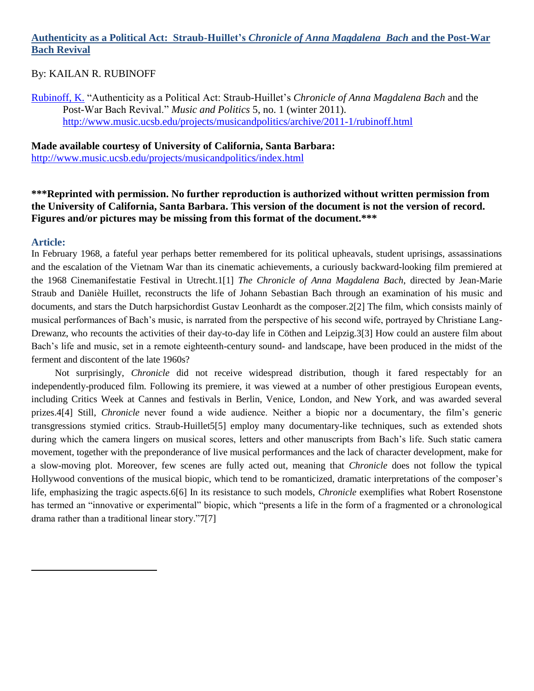# **Authenticity as a Political Act: Straub-Huillet's** *Chronicle of Anna Magdalena Bach* **and the Post-War Bach Revival**

### By: KAILAN R. RUBINOFF

[Rubinoff, K.](http://libres.uncg.edu/ir/uncg/clist.aspx?id=4054) ―Authenticity as a Political Act: Straub-Huillet's *Chronicle of Anna Magdalena Bach* and the Post-War Bach Revival." *Music and Politics* 5, no. 1 (winter 2011). <http://www.music.ucsb.edu/projects/musicandpolitics/archive/2011-1/rubinoff.html>

**Made available courtesy of University of California, Santa Barbara:**  <http://www.music.ucsb.edu/projects/musicandpolitics/index.html>

**\*\*\*Reprinted with permission. No further reproduction is authorized without written permission from the University of California, Santa Barbara. This version of the document is not the version of record. Figures and/or pictures may be missing from this format of the document.\*\*\***

#### **Article:**

 $\overline{a}$ 

In February 1968, a fateful year perhaps better remembered for its political upheavals, student uprisings, assassinations and the escalation of the Vietnam War than its cinematic achievements, a curiously backward-looking film premiered at the 1968 Cinemanifestatie Festival in Utrecht.1[1] *The Chronicle of Anna Magdalena Bach*, directed by Jean-Marie Straub and Danièle Huillet, reconstructs the life of Johann Sebastian Bach through an examination of his music and documents, and stars the Dutch harpsichordist Gustav Leonhardt as the composer.2[2] The film, which consists mainly of musical performances of Bach's music, is narrated from the perspective of his second wife, portrayed by Christiane Lang-Drewanz, who recounts the activities of their day-to-day life in Cöthen and Leipzig.3[3] How could an austere film about Bach's life and music, set in a remote eighteenth-century sound- and landscape, have been produced in the midst of the ferment and discontent of the late 1960s?

Not surprisingly, *Chronicle* did not receive widespread distribution, though it fared respectably for an independently-produced film. Following its premiere, it was viewed at a number of other prestigious European events, including Critics Week at Cannes and festivals in Berlin, Venice, London, and New York, and was awarded several prizes.4[4] Still, *Chronicle* never found a wide audience. Neither a biopic nor a documentary, the film's generic transgressions stymied critics. Straub-Huillet5[5] employ many documentary-like techniques, such as extended shots during which the camera lingers on musical scores, letters and other manuscripts from Bach's life. Such static camera movement, together with the preponderance of live musical performances and the lack of character development, make for a slow-moving plot. Moreover, few scenes are fully acted out, meaning that *Chronicle* does not follow the typical Hollywood conventions of the musical biopic, which tend to be romanticized, dramatic interpretations of the composer's life, emphasizing the tragic aspects.6[6] In its resistance to such models, *Chronicle* exemplifies what Robert Rosenstone has termed an "innovative or experimental" biopic, which "presents a life in the form of a fragmented or a chronological drama rather than a traditional linear story."7[7]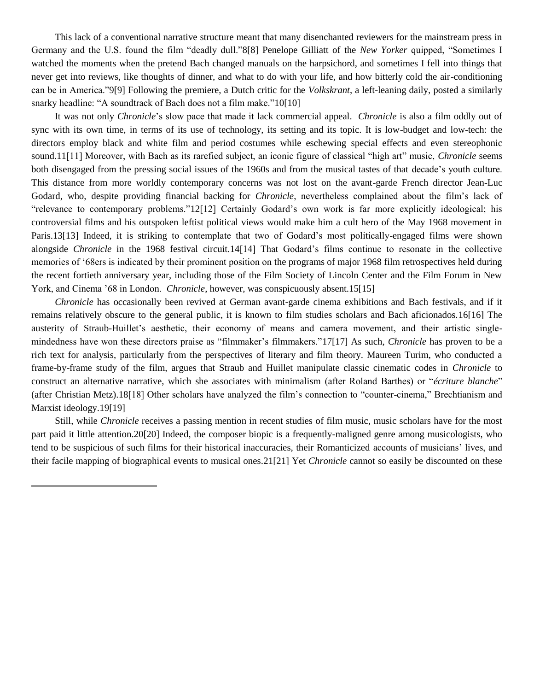This lack of a conventional narrative structure meant that many disenchanted reviewers for the mainstream press in Germany and the U.S. found the film "deadly dull."8[8] Penelope Gilliatt of the *New Yorker* quipped, "Sometimes I watched the moments when the pretend Bach changed manuals on the harpsichord, and sometimes I fell into things that never get into reviews, like thoughts of dinner, and what to do with your life, and how bitterly cold the air-conditioning can be in America."9[9] Following the premiere, a Dutch critic for the *Volkskrant*, a left-leaning daily, posted a similarly snarky headline: "A soundtrack of Bach does not a film make."10[10]

It was not only *Chronicle*'s slow pace that made it lack commercial appeal. *Chronicle* is also a film oddly out of sync with its own time, in terms of its use of technology, its setting and its topic. It is low-budget and low-tech: the directors employ black and white film and period costumes while eschewing special effects and even stereophonic sound.11[11] Moreover, with Bach as its rarefied subject, an iconic figure of classical "high art" music, *Chronicle* seems both disengaged from the pressing social issues of the 1960s and from the musical tastes of that decade's youth culture. This distance from more worldly contemporary concerns was not lost on the avant-garde French director Jean-Luc Godard, who, despite providing financial backing for *Chronicle*, nevertheless complained about the film's lack of ―relevance to contemporary problems.‖12[12] Certainly Godard's own work is far more explicitly ideological; his controversial films and his outspoken leftist political views would make him a cult hero of the May 1968 movement in Paris.13[13] Indeed, it is striking to contemplate that two of Godard's most politically-engaged films were shown alongside *Chronicle* in the 1968 festival circuit.14[14] That Godard's films continue to resonate in the collective memories of '68ers is indicated by their prominent position on the programs of major 1968 film retrospectives held during the recent fortieth anniversary year, including those of the Film Society of Lincoln Center and the Film Forum in New York, and Cinema '68 in London. *Chronicle*, however, was conspicuously absent.15[15]

*Chronicle* has occasionally been revived at German avant-garde cinema exhibitions and Bach festivals, and if it remains relatively obscure to the general public, it is known to film studies scholars and Bach aficionados.16[16] The austerity of Straub-Huillet's aesthetic, their economy of means and camera movement, and their artistic singlemindedness have won these directors praise as "filmmaker's filmmakers."17[17] As such, *Chronicle* has proven to be a rich text for analysis, particularly from the perspectives of literary and film theory. Maureen Turim, who conducted a frame-by-frame study of the film, argues that Straub and Huillet manipulate classic cinematic codes in *Chronicle* to construct an alternative narrative, which she associates with minimalism (after Roland Barthes) or "écriture blanche" (after Christian Metz).18[18] Other scholars have analyzed the film's connection to "counter-cinema," Brechtianism and Marxist ideology.19[19]

Still, while *Chronicle* receives a passing mention in recent studies of film music, music scholars have for the most part paid it little attention.20[20] Indeed, the composer biopic is a frequently-maligned genre among musicologists, who tend to be suspicious of such films for their historical inaccuracies, their Romanticized accounts of musicians' lives, and their facile mapping of biographical events to musical ones.21[21] Yet *Chronicle* cannot so easily be discounted on these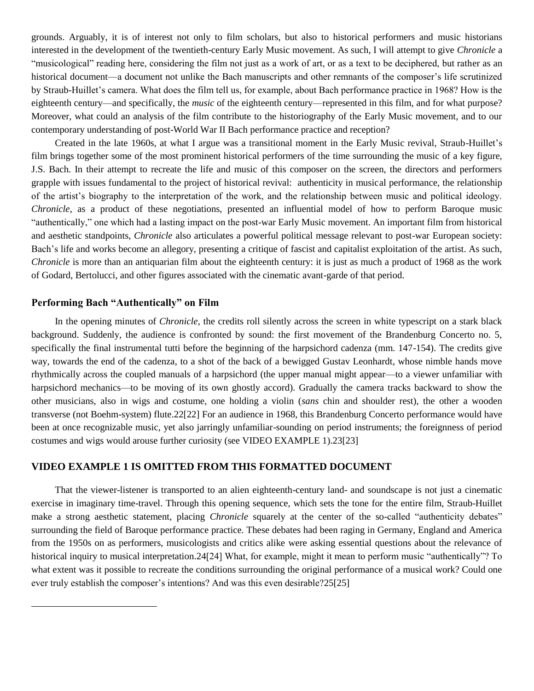grounds. Arguably, it is of interest not only to film scholars, but also to historical performers and music historians interested in the development of the twentieth-century Early Music movement. As such, I will attempt to give *Chronicle* a ―musicological‖ reading here, considering the film not just as a work of art, or as a text to be deciphered, but rather as an historical document—a document not unlike the Bach manuscripts and other remnants of the composer's life scrutinized by Straub-Huillet's camera. What does the film tell us, for example, about Bach performance practice in 1968? How is the eighteenth century—and specifically, the *music* of the eighteenth century—represented in this film, and for what purpose? Moreover, what could an analysis of the film contribute to the historiography of the Early Music movement, and to our contemporary understanding of post-World War II Bach performance practice and reception?

Created in the late 1960s, at what I argue was a transitional moment in the Early Music revival, Straub-Huillet's film brings together some of the most prominent historical performers of the time surrounding the music of a key figure, J.S. Bach. In their attempt to recreate the life and music of this composer on the screen, the directors and performers grapple with issues fundamental to the project of historical revival: authenticity in musical performance, the relationship of the artist's biography to the interpretation of the work, and the relationship between music and political ideology. *Chronicle*, as a product of these negotiations, presented an influential model of how to perform Baroque music "authentically," one which had a lasting impact on the post-war Early Music movement. An important film from historical and aesthetic standpoints, *Chronicle* also articulates a powerful political message relevant to post-war European society: Bach's life and works become an allegory, presenting a critique of fascist and capitalist exploitation of the artist. As such, *Chronicle* is more than an antiquarian film about the eighteenth century: it is just as much a product of 1968 as the work of Godard, Bertolucci, and other figures associated with the cinematic avant-garde of that period.

# **Performing Bach "Authentically" on Film**

 $\overline{a}$ 

In the opening minutes of *Chronicle*, the credits roll silently across the screen in white typescript on a stark black background. Suddenly, the audience is confronted by sound: the first movement of the Brandenburg Concerto no. 5, specifically the final instrumental tutti before the beginning of the harpsichord cadenza (mm. 147-154). The credits give way, towards the end of the cadenza, to a shot of the back of a bewigged Gustav Leonhardt, whose nimble hands move rhythmically across the coupled manuals of a harpsichord (the upper manual might appear—to a viewer unfamiliar with harpsichord mechanics—to be moving of its own ghostly accord). Gradually the camera tracks backward to show the other musicians, also in wigs and costume, one holding a violin (*sans* chin and shoulder rest), the other a wooden transverse (not Boehm-system) flute.22[22] For an audience in 1968, this Brandenburg Concerto performance would have been at once recognizable music, yet also jarringly unfamiliar-sounding on period instruments; the foreignness of period costumes and wigs would arouse further curiosity (see VIDEO EXAMPLE 1).23[23]

### **VIDEO EXAMPLE 1 IS OMITTED FROM THIS FORMATTED DOCUMENT**

That the viewer-listener is transported to an alien eighteenth-century land- and soundscape is not just a cinematic exercise in imaginary time-travel. Through this opening sequence, which sets the tone for the entire film, Straub-Huillet make a strong aesthetic statement, placing *Chronicle* squarely at the center of the so-called "authenticity debates" surrounding the field of Baroque performance practice. These debates had been raging in Germany, England and America from the 1950s on as performers, musicologists and critics alike were asking essential questions about the relevance of historical inquiry to musical interpretation.24[24] What, for example, might it mean to perform music "authentically"? To what extent was it possible to recreate the conditions surrounding the original performance of a musical work? Could one ever truly establish the composer's intentions? And was this even desirable?25[25]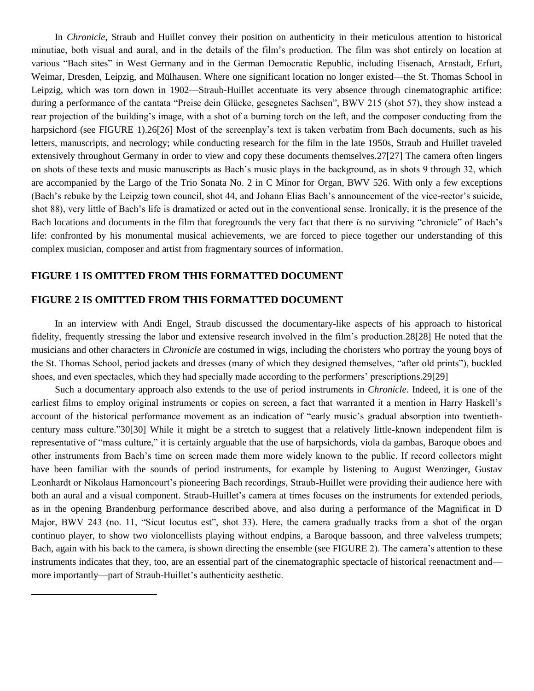In *Chronicle*, Straub and Huillet convey their position on authenticity in their meticulous attention to historical minutiae, both visual and aural, and in the details of the film's production. The film was shot entirely on location at various "Bach sites" in West Germany and in the German Democratic Republic, including Eisenach, Arnstadt, Erfurt, Weimar, Dresden, Leipzig, and Mülhausen. Where one significant location no longer existed—the St. Thomas School in Leipzig, which was torn down in 1902—Straub-Huillet accentuate its very absence through cinematographic artifice: during a performance of the cantata "Preise dein Glücke, gesegnetes Sachsen", BWV 215 (shot 57), they show instead a rear projection of the building's image, with a shot of a burning torch on the left, and the composer conducting from the harpsichord (see FIGURE 1).26[26] Most of the screenplay's text is taken verbatim from Bach documents, such as his letters, manuscripts, and necrology; while conducting research for the film in the late 1950s, Straub and Huillet traveled extensively throughout Germany in order to view and copy these documents themselves.27[27] The camera often lingers on shots of these texts and music manuscripts as Bach's music plays in the background, as in shots 9 through 32, which are accompanied by the Largo of the Trio Sonata No. 2 in C Minor for Organ, BWV 526. With only a few exceptions (Bach's rebuke by the Leipzig town council, shot 44, and Johann Elias Bach's announcement of the vice-rector's suicide, shot 88), very little of Bach's life is dramatized or acted out in the conventional sense. Ironically, it is the presence of the Bach locations and documents in the film that foregrounds the very fact that there *is* no surviving "chronicle" of Bach's life: confronted by his monumental musical achievements, we are forced to piece together our understanding of this complex musician, composer and artist from fragmentary sources of information.

## **FIGURE 1 IS OMITTED FROM THIS FORMATTED DOCUMENT**

## **FIGURE 2 IS OMITTED FROM THIS FORMATTED DOCUMENT**

 $\overline{a}$ 

In an interview with Andi Engel, Straub discussed the documentary-like aspects of his approach to historical fidelity, frequently stressing the labor and extensive research involved in the film's production.28[28] He noted that the musicians and other characters in *Chronicle* are costumed in wigs, including the choristers who portray the young boys of the St. Thomas School, period jackets and dresses (many of which they designed themselves, "after old prints"), buckled shoes, and even spectacles, which they had specially made according to the performers' prescriptions.29[29]

Such a documentary approach also extends to the use of period instruments in *Chronicle*. Indeed, it is one of the earliest films to employ original instruments or copies on screen, a fact that warranted it a mention in Harry Haskell's account of the historical performance movement as an indication of "early music's gradual absorption into twentiethcentury mass culture."30[30] While it might be a stretch to suggest that a relatively little-known independent film is representative of "mass culture," it is certainly arguable that the use of harpsichords, viola da gambas, Baroque oboes and other instruments from Bach's time on screen made them more widely known to the public. If record collectors might have been familiar with the sounds of period instruments, for example by listening to August Wenzinger, Gustav Leonhardt or Nikolaus Harnoncourt's pioneering Bach recordings, Straub-Huillet were providing their audience here with both an aural and a visual component. Straub-Huillet's camera at times focuses on the instruments for extended periods, as in the opening Brandenburg performance described above, and also during a performance of the Magnificat in D Major, BWV 243 (no. 11, "Sicut locutus est", shot 33). Here, the camera gradually tracks from a shot of the organ continuo player, to show two violoncellists playing without endpins, a Baroque bassoon, and three valveless trumpets; Bach, again with his back to the camera, is shown directing the ensemble (see FIGURE 2). The camera's attention to these instruments indicates that they, too, are an essential part of the cinematographic spectacle of historical reenactment and more importantly—part of Straub-Huillet's authenticity aesthetic.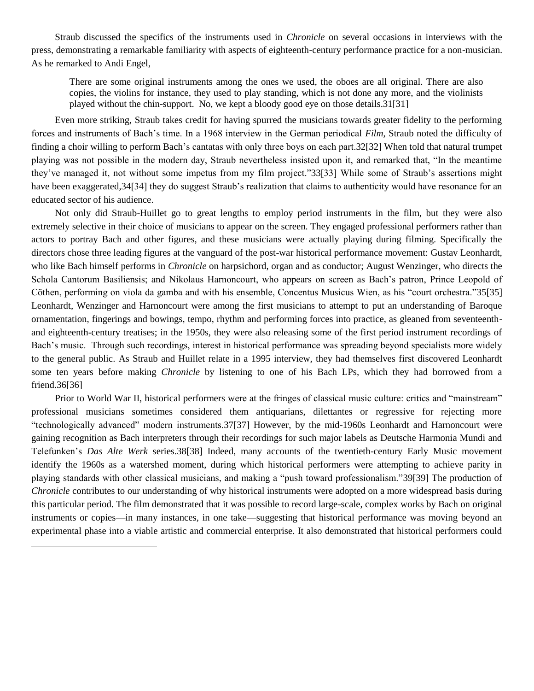Straub discussed the specifics of the instruments used in *Chronicle* on several occasions in interviews with the press, demonstrating a remarkable familiarity with aspects of eighteenth-century performance practice for a non-musician. As he remarked to Andi Engel,

There are some original instruments among the ones we used, the oboes are all original. There are also copies, the violins for instance, they used to play standing, which is not done any more, and the violinists played without the chin-support. No, we kept a bloody good eye on those details.31[31]

Even more striking, Straub takes credit for having spurred the musicians towards greater fidelity to the performing forces and instruments of Bach's time. In a 1968 interview in the German periodical *Film*, Straub noted the difficulty of finding a choir willing to perform Bach's cantatas with only three boys on each part.32[32] When told that natural trumpet playing was not possible in the modern day. Straub nevertheless insisted upon it, and remarked that, "In the meantime they've managed it, not without some impetus from my film project."33[33] While some of Straub's assertions might have been exaggerated, 34[34] they do suggest Straub's realization that claims to authenticity would have resonance for an educated sector of his audience.

Not only did Straub-Huillet go to great lengths to employ period instruments in the film, but they were also extremely selective in their choice of musicians to appear on the screen. They engaged professional performers rather than actors to portray Bach and other figures, and these musicians were actually playing during filming. Specifically the directors chose three leading figures at the vanguard of the post-war historical performance movement: Gustav Leonhardt, who like Bach himself performs in *Chronicle* on harpsichord, organ and as conductor; August Wenzinger, who directs the Schola Cantorum Basiliensis; and Nikolaus Harnoncourt, who appears on screen as Bach's patron, Prince Leopold of Cöthen, performing on viola da gamba and with his ensemble, Concentus Musicus Wien, as his "court orchestra."35[35] Leonhardt, Wenzinger and Harnoncourt were among the first musicians to attempt to put an understanding of Baroque ornamentation, fingerings and bowings, tempo, rhythm and performing forces into practice, as gleaned from seventeenthand eighteenth-century treatises; in the 1950s, they were also releasing some of the first period instrument recordings of Bach's music. Through such recordings, interest in historical performance was spreading beyond specialists more widely to the general public. As Straub and Huillet relate in a 1995 interview, they had themselves first discovered Leonhardt some ten years before making *Chronicle* by listening to one of his Bach LPs, which they had borrowed from a friend.36[36]

Prior to World War II, historical performers were at the fringes of classical music culture: critics and "mainstream" professional musicians sometimes considered them antiquarians, dilettantes or regressive for rejecting more ―technologically advanced‖ modern instruments.37[37] However, by the mid-1960s Leonhardt and Harnoncourt were gaining recognition as Bach interpreters through their recordings for such major labels as Deutsche Harmonia Mundi and Telefunken's *Das Alte Werk* series.38[38] Indeed, many accounts of the twentieth-century Early Music movement identify the 1960s as a watershed moment, during which historical performers were attempting to achieve parity in playing standards with other classical musicians, and making a "push toward professionalism."39[39] The production of *Chronicle* contributes to our understanding of why historical instruments were adopted on a more widespread basis during this particular period. The film demonstrated that it was possible to record large-scale, complex works by Bach on original instruments or copies—in many instances, in one take—suggesting that historical performance was moving beyond an experimental phase into a viable artistic and commercial enterprise. It also demonstrated that historical performers could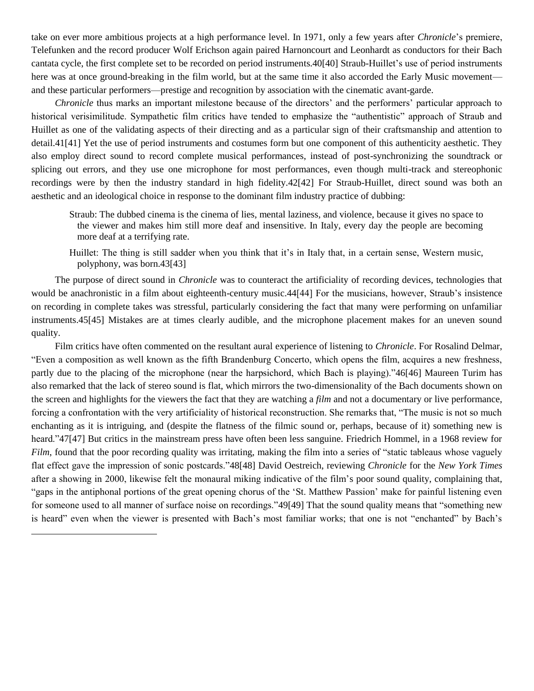take on ever more ambitious projects at a high performance level. In 1971, only a few years after *Chronicle*'s premiere, Telefunken and the record producer Wolf Erichson again paired Harnoncourt and Leonhardt as conductors for their Bach cantata cycle, the first complete set to be recorded on period instruments.40[40] Straub-Huillet's use of period instruments here was at once ground-breaking in the film world, but at the same time it also accorded the Early Music movement and these particular performers—prestige and recognition by association with the cinematic avant-garde.

*Chronicle* thus marks an important milestone because of the directors' and the performers' particular approach to historical verisimilitude. Sympathetic film critics have tended to emphasize the "authentistic" approach of Straub and Huillet as one of the validating aspects of their directing and as a particular sign of their craftsmanship and attention to detail.41[41] Yet the use of period instruments and costumes form but one component of this authenticity aesthetic. They also employ direct sound to record complete musical performances, instead of post-synchronizing the soundtrack or splicing out errors, and they use one microphone for most performances, even though multi-track and stereophonic recordings were by then the industry standard in high fidelity.42[42] For Straub-Huillet, direct sound was both an aesthetic and an ideological choice in response to the dominant film industry practice of dubbing:

- Straub: The dubbed cinema is the cinema of lies, mental laziness, and violence, because it gives no space to the viewer and makes him still more deaf and insensitive. In Italy, every day the people are becoming more deaf at a terrifying rate.
- Huillet: The thing is still sadder when you think that it's in Italy that, in a certain sense, Western music, polyphony, was born.43[43]

The purpose of direct sound in *Chronicle* was to counteract the artificiality of recording devices, technologies that would be anachronistic in a film about eighteenth-century music.44[44] For the musicians, however, Straub's insistence on recording in complete takes was stressful, particularly considering the fact that many were performing on unfamiliar instruments.45[45] Mistakes are at times clearly audible, and the microphone placement makes for an uneven sound quality.

Film critics have often commented on the resultant aural experience of listening to *Chronicle*. For Rosalind Delmar, ―Even a composition as well known as the fifth Brandenburg Concerto, which opens the film, acquires a new freshness, partly due to the placing of the microphone (near the harpsichord, which Bach is playing)."46[46] Maureen Turim has also remarked that the lack of stereo sound is flat, which mirrors the two-dimensionality of the Bach documents shown on the screen and highlights for the viewers the fact that they are watching a *film* and not a documentary or live performance, forcing a confrontation with the very artificiality of historical reconstruction. She remarks that, "The music is not so much enchanting as it is intriguing, and (despite the flatness of the filmic sound or, perhaps, because of it) something new is heard."47[47] But critics in the mainstream press have often been less sanguine. Friedrich Hommel, in a 1968 review for *Film*, found that the poor recording quality was irritating, making the film into a series of "static tableaus whose vaguely flat effect gave the impression of sonic postcards."48[48] David Oestreich, reviewing *Chronicle* for the *New York Times* after a showing in 2000, likewise felt the monaural miking indicative of the film's poor sound quality, complaining that, ―gaps in the antiphonal portions of the great opening chorus of the ‗St. Matthew Passion' make for painful listening even for someone used to all manner of surface noise on recordings."49[49] That the sound quality means that "something new is heard" even when the viewer is presented with Bach's most familiar works; that one is not "enchanted" by Bach's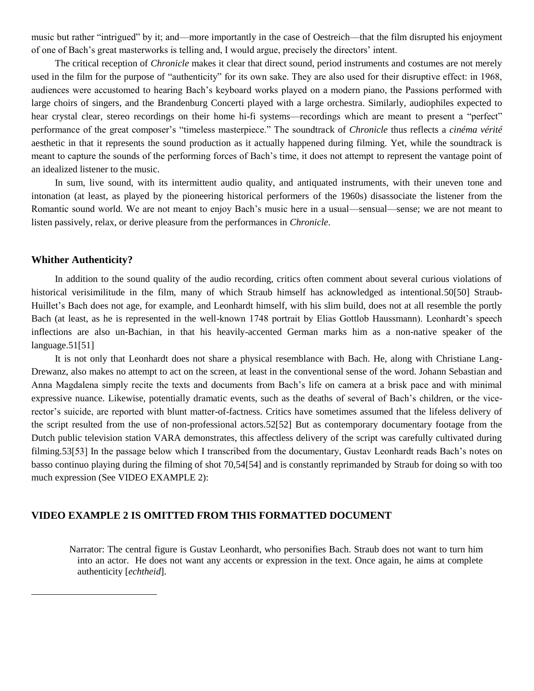music but rather "intrigued" by it; and—more importantly in the case of Oestreich—that the film disrupted his enjoyment of one of Bach's great masterworks is telling and, I would argue, precisely the directors' intent.

The critical reception of *Chronicle* makes it clear that direct sound, period instruments and costumes are not merely used in the film for the purpose of "authenticity" for its own sake. They are also used for their disruptive effect: in 1968, audiences were accustomed to hearing Bach's keyboard works played on a modern piano, the Passions performed with large choirs of singers, and the Brandenburg Concerti played with a large orchestra. Similarly, audiophiles expected to hear crystal clear, stereo recordings on their home hi-fi systems—recordings which are meant to present a "perfect" performance of the great composer's "timeless masterpiece." The soundtrack of *Chronicle* thus reflects a *cinéma vérité* aesthetic in that it represents the sound production as it actually happened during filming. Yet, while the soundtrack is meant to capture the sounds of the performing forces of Bach's time, it does not attempt to represent the vantage point of an idealized listener to the music.

In sum, live sound, with its intermittent audio quality, and antiquated instruments, with their uneven tone and intonation (at least, as played by the pioneering historical performers of the 1960s) disassociate the listener from the Romantic sound world. We are not meant to enjoy Bach's music here in a usual—sensual—sense; we are not meant to listen passively, relax, or derive pleasure from the performances in *Chronicle*.

#### **Whither Authenticity?**

 $\overline{a}$ 

In addition to the sound quality of the audio recording, critics often comment about several curious violations of historical verisimilitude in the film, many of which Straub himself has acknowledged as intentional.50[50] Straub-Huillet's Bach does not age, for example, and Leonhardt himself, with his slim build, does not at all resemble the portly Bach (at least, as he is represented in the well-known 1748 portrait by Elias Gottlob Haussmann). Leonhardt's speech inflections are also un-Bachian, in that his heavily-accented German marks him as a non-native speaker of the language.51[51]

It is not only that Leonhardt does not share a physical resemblance with Bach. He, along with Christiane Lang-Drewanz, also makes no attempt to act on the screen, at least in the conventional sense of the word. Johann Sebastian and Anna Magdalena simply recite the texts and documents from Bach's life on camera at a brisk pace and with minimal expressive nuance. Likewise, potentially dramatic events, such as the deaths of several of Bach's children, or the vicerector's suicide, are reported with blunt matter-of-factness. Critics have sometimes assumed that the lifeless delivery of the script resulted from the use of non-professional actors.52[52] But as contemporary documentary footage from the Dutch public television station VARA demonstrates, this affectless delivery of the script was carefully cultivated during filming.53[53] In the passage below which I transcribed from the documentary, Gustav Leonhardt reads Bach's notes on basso continuo playing during the filming of shot 70,54[54] and is constantly reprimanded by Straub for doing so with too much expression (See VIDEO EXAMPLE 2):

## **VIDEO EXAMPLE 2 IS OMITTED FROM THIS FORMATTED DOCUMENT**

Narrator: The central figure is Gustav Leonhardt, who personifies Bach. Straub does not want to turn him into an actor. He does not want any accents or expression in the text. Once again, he aims at complete authenticity [*echtheid*].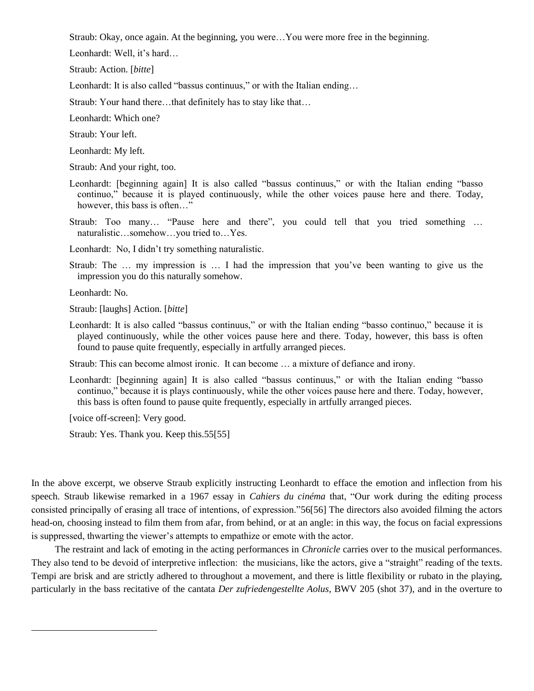Straub: Okay, once again. At the beginning, you were…You were more free in the beginning.

Leonhardt: Well, it's hard…

Straub: Action. [*bitte*]

Leonhardt: It is also called "bassus continuus," or with the Italian ending...

Straub: Your hand there…that definitely has to stay like that…

Leonhardt: Which one?

Straub: Your left.

Leonhardt: My left.

Straub: And your right, too.

- Leonhardt: [beginning again] It is also called "bassus continuus," or with the Italian ending "basso continuo," because it is played continuously, while the other voices pause here and there. Today, however, this bass is often..."
- Straub: Too many... "Pause here and there", you could tell that you tried something ... naturalistic…somehow…you tried to…Yes.

Leonhardt: No, I didn't try something naturalistic.

Straub: The … my impression is … I had the impression that you've been wanting to give us the impression you do this naturally somehow.

Leonhardt: No.

 $\overline{a}$ 

Straub: [laughs] Action. [*bitte*]

Leonhardt: It is also called "bassus continuus," or with the Italian ending "basso continuo," because it is played continuously, while the other voices pause here and there. Today, however, this bass is often found to pause quite frequently, especially in artfully arranged pieces.

Straub: This can become almost ironic. It can become … a mixture of defiance and irony.

Leonhardt: [beginning again] It is also called "bassus continuus," or with the Italian ending "basso continuo," because it is plays continuously, while the other voices pause here and there. Today, however, this bass is often found to pause quite frequently, especially in artfully arranged pieces.

[voice off-screen]: Very good.

Straub: Yes. Thank you. Keep this.55[55]

In the above excerpt, we observe Straub explicitly instructing Leonhardt to efface the emotion and inflection from his speech. Straub likewise remarked in a 1967 essay in *Cahiers du cinéma* that, "Our work during the editing process consisted principally of erasing all trace of intentions, of expression."56[56] The directors also avoided filming the actors head-on, choosing instead to film them from afar, from behind, or at an angle: in this way, the focus on facial expressions is suppressed, thwarting the viewer's attempts to empathize or emote with the actor.

The restraint and lack of emoting in the acting performances in *Chronicle* carries over to the musical performances. They also tend to be devoid of interpretive inflection: the musicians, like the actors, give a "straight" reading of the texts. Tempi are brisk and are strictly adhered to throughout a movement, and there is little flexibility or rubato in the playing, particularly in the bass recitative of the cantata *Der zufriedengestellte Aolus*, BWV 205 (shot 37), and in the overture to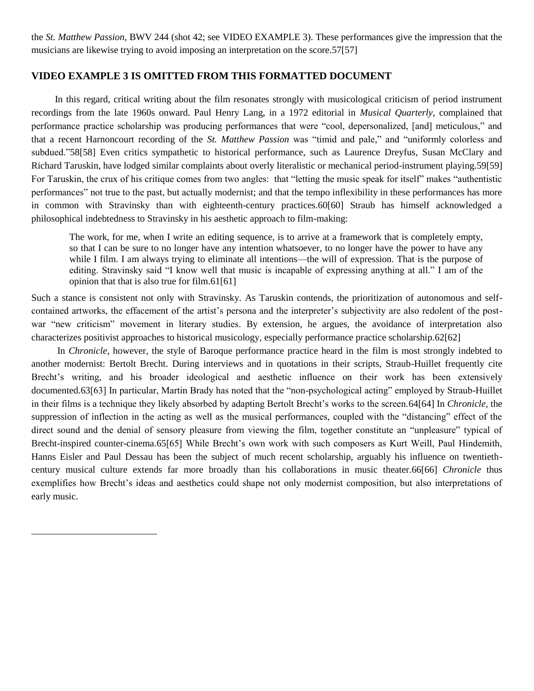the *St. Matthew Passion*, BWV 244 (shot 42; see VIDEO EXAMPLE 3). These performances give the impression that the musicians are likewise trying to avoid imposing an interpretation on the score.57[57]

### **VIDEO EXAMPLE 3 IS OMITTED FROM THIS FORMATTED DOCUMENT**

In this regard, critical writing about the film resonates strongly with musicological criticism of period instrument recordings from the late 1960s onward. Paul Henry Lang, in a 1972 editorial in *Musical Quarterly*, complained that performance practice scholarship was producing performances that were "cool, depersonalized, [and] meticulous," and that a recent Harnoncourt recording of the *St. Matthew Passion* was "timid and pale," and "uniformly colorless and subdued."58[58] Even critics sympathetic to historical performance, such as Laurence Dreyfus, Susan McClary and Richard Taruskin, have lodged similar complaints about overly literalistic or mechanical period-instrument playing.59[59] For Taruskin, the crux of his critique comes from two angles: that "letting the music speak for itself" makes "authentistic performances" not true to the past, but actually modernist; and that the tempo inflexibility in these performances has more in common with Stravinsky than with eighteenth-century practices.60[60] Straub has himself acknowledged a philosophical indebtedness to Stravinsky in his aesthetic approach to film-making:

The work, for me, when I write an editing sequence, is to arrive at a framework that is completely empty, so that I can be sure to no longer have any intention whatsoever, to no longer have the power to have any while I film. I am always trying to eliminate all intentions—the will of expression. That is the purpose of editing. Stravinsky said "I know well that music is incapable of expressing anything at all." I am of the opinion that that is also true for film.61[61]

Such a stance is consistent not only with Stravinsky. As Taruskin contends, the prioritization of autonomous and selfcontained artworks, the effacement of the artist's persona and the interpreter's subjectivity are also redolent of the postwar "new criticism" movement in literary studies. By extension, he argues, the avoidance of interpretation also characterizes positivist approaches to historical musicology, especially performance practice scholarship.62[62]

In *Chronicle*, however, the style of Baroque performance practice heard in the film is most strongly indebted to another modernist: Bertolt Brecht. During interviews and in quotations in their scripts, Straub-Huillet frequently cite Brecht's writing, and his broader ideological and aesthetic influence on their work has been extensively documented.63[63] In particular, Martin Brady has noted that the "non-psychological acting" employed by Straub-Huillet in their films is a technique they likely absorbed by adapting Bertolt Brecht's works to the screen.64[64] In *Chronicle*, the suppression of inflection in the acting as well as the musical performances, coupled with the "distancing" effect of the direct sound and the denial of sensory pleasure from viewing the film, together constitute an "unpleasure" typical of Brecht-inspired counter-cinema.65[65] While Brecht's own work with such composers as Kurt Weill, Paul Hindemith, Hanns Eisler and Paul Dessau has been the subject of much recent scholarship, arguably his influence on twentiethcentury musical culture extends far more broadly than his collaborations in music theater.66[66] *Chronicle* thus exemplifies how Brecht's ideas and aesthetics could shape not only modernist composition, but also interpretations of early music.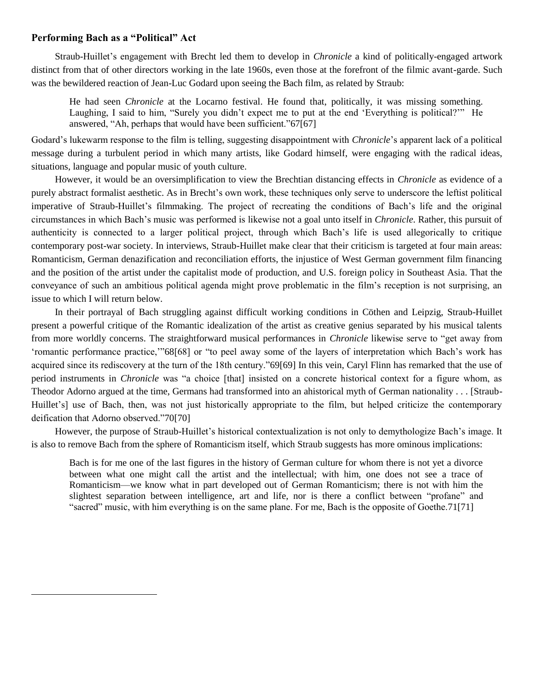#### **Performing Bach as a "Political" Act**

 $\overline{a}$ 

Straub-Huillet's engagement with Brecht led them to develop in *Chronicle* a kind of politically-engaged artwork distinct from that of other directors working in the late 1960s, even those at the forefront of the filmic avant-garde. Such was the bewildered reaction of Jean-Luc Godard upon seeing the Bach film, as related by Straub:

He had seen *Chronicle* at the Locarno festival. He found that, politically, it was missing something. Laughing, I said to him, "Surely you didn't expect me to put at the end 'Everything is political?" He answered, "Ah, perhaps that would have been sufficient."67[67]

Godard's lukewarm response to the film is telling, suggesting disappointment with *Chronicle*'s apparent lack of a political message during a turbulent period in which many artists, like Godard himself, were engaging with the radical ideas, situations, language and popular music of youth culture.

However, it would be an oversimplification to view the Brechtian distancing effects in *Chronicle* as evidence of a purely abstract formalist aesthetic. As in Brecht's own work, these techniques only serve to underscore the leftist political imperative of Straub-Huillet's filmmaking. The project of recreating the conditions of Bach's life and the original circumstances in which Bach's music was performed is likewise not a goal unto itself in *Chronicle*. Rather, this pursuit of authenticity is connected to a larger political project, through which Bach's life is used allegorically to critique contemporary post-war society. In interviews, Straub-Huillet make clear that their criticism is targeted at four main areas: Romanticism, German denazification and reconciliation efforts, the injustice of West German government film financing and the position of the artist under the capitalist mode of production, and U.S. foreign policy in Southeast Asia. That the conveyance of such an ambitious political agenda might prove problematic in the film's reception is not surprising, an issue to which I will return below.

In their portrayal of Bach struggling against difficult working conditions in Cöthen and Leipzig, Straub-Huillet present a powerful critique of the Romantic idealization of the artist as creative genius separated by his musical talents from more worldly concerns. The straightforward musical performances in *Chronicle* likewise serve to "get away from 'romantic performance practice,'''68[68] or "to peel away some of the layers of interpretation which Bach's work has acquired since its rediscovery at the turn of the 18th century."69[69] In this vein, Caryl Flinn has remarked that the use of period instruments in *Chronicle* was "a choice [that] insisted on a concrete historical context for a figure whom, as Theodor Adorno argued at the time, Germans had transformed into an ahistorical myth of German nationality . . . [Straub-Huillet's] use of Bach, then, was not just historically appropriate to the film, but helped criticize the contemporary deification that Adorno observed."70[70]

However, the purpose of Straub-Huillet's historical contextualization is not only to demythologize Bach's image. It is also to remove Bach from the sphere of Romanticism itself, which Straub suggests has more ominous implications:

Bach is for me one of the last figures in the history of German culture for whom there is not yet a divorce between what one might call the artist and the intellectual; with him, one does not see a trace of Romanticism—we know what in part developed out of German Romanticism; there is not with him the slightest separation between intelligence, art and life, nor is there a conflict between "profane" and ―sacred‖ music, with him everything is on the same plane. For me, Bach is the opposite of Goethe.71[71]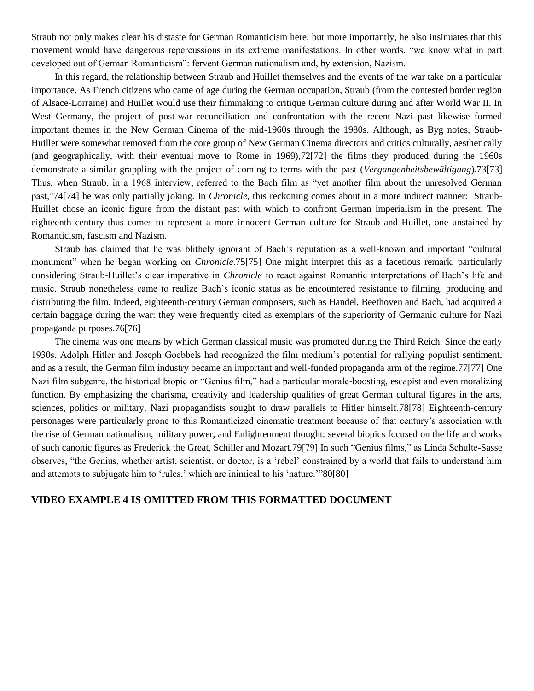Straub not only makes clear his distaste for German Romanticism here, but more importantly, he also insinuates that this movement would have dangerous repercussions in its extreme manifestations. In other words, "we know what in part developed out of German Romanticism": fervent German nationalism and, by extension, Nazism.

In this regard, the relationship between Straub and Huillet themselves and the events of the war take on a particular importance. As French citizens who came of age during the German occupation, Straub (from the contested border region of Alsace-Lorraine) and Huillet would use their filmmaking to critique German culture during and after World War II. In West Germany, the project of post-war reconciliation and confrontation with the recent Nazi past likewise formed important themes in the New German Cinema of the mid-1960s through the 1980s. Although, as Byg notes, Straub-Huillet were somewhat removed from the core group of New German Cinema directors and critics culturally, aesthetically (and geographically, with their eventual move to Rome in 1969),72[72] the films they produced during the 1960s demonstrate a similar grappling with the project of coming to terms with the past (*Vergangenheitsbewältigung*).73[73] Thus, when Straub, in a 1968 interview, referred to the Bach film as "yet another film about the unresolved German past,‖74[74] he was only partially joking. In *Chronicle*, this reckoning comes about in a more indirect manner: Straub-Huillet chose an iconic figure from the distant past with which to confront German imperialism in the present. The eighteenth century thus comes to represent a more innocent German culture for Straub and Huillet, one unstained by Romanticism, fascism and Nazism.

Straub has claimed that he was blithely ignorant of Bach's reputation as a well-known and important "cultural" monument" when he began working on *Chronicle*.75<sup>[75]</sup> One might interpret this as a facetious remark, particularly considering Straub-Huillet's clear imperative in *Chronicle* to react against Romantic interpretations of Bach's life and music. Straub nonetheless came to realize Bach's iconic status as he encountered resistance to filming, producing and distributing the film. Indeed, eighteenth-century German composers, such as Handel, Beethoven and Bach, had acquired a certain baggage during the war: they were frequently cited as exemplars of the superiority of Germanic culture for Nazi propaganda purposes.76[76]

The cinema was one means by which German classical music was promoted during the Third Reich. Since the early 1930s, Adolph Hitler and Joseph Goebbels had recognized the film medium's potential for rallying populist sentiment, and as a result, the German film industry became an important and well-funded propaganda arm of the regime.77[77] One Nazi film subgenre, the historical biopic or "Genius film," had a particular morale-boosting, escapist and even moralizing function. By emphasizing the charisma, creativity and leadership qualities of great German cultural figures in the arts, sciences, politics or military, Nazi propagandists sought to draw parallels to Hitler himself.78[78] Eighteenth-century personages were particularly prone to this Romanticized cinematic treatment because of that century's association with the rise of German nationalism, military power, and Enlightenment thought: several biopics focused on the life and works of such canonic figures as Frederick the Great, Schiller and Mozart.79[79] In such "Genius films," as Linda Schulte-Sasse observes, "the Genius, whether artist, scientist, or doctor, is a 'rebel' constrained by a world that fails to understand him and attempts to subjugate him to 'rules,' which are inimical to his 'nature.'"80[80]

### **VIDEO EXAMPLE 4 IS OMITTED FROM THIS FORMATTED DOCUMENT**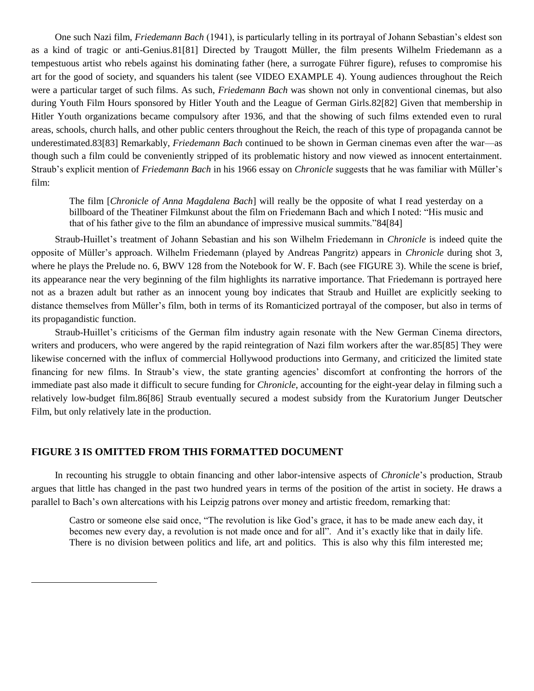One such Nazi film, *Friedemann Bach* (1941), is particularly telling in its portrayal of Johann Sebastian's eldest son as a kind of tragic or anti-Genius.81[81] Directed by Traugott Müller, the film presents Wilhelm Friedemann as a tempestuous artist who rebels against his dominating father (here, a surrogate Führer figure), refuses to compromise his art for the good of society, and squanders his talent (see VIDEO EXAMPLE 4). Young audiences throughout the Reich were a particular target of such films. As such, *Friedemann Bach* was shown not only in conventional cinemas, but also during Youth Film Hours sponsored by Hitler Youth and the League of German Girls.82[82] Given that membership in Hitler Youth organizations became compulsory after 1936, and that the showing of such films extended even to rural areas, schools, church halls, and other public centers throughout the Reich, the reach of this type of propaganda cannot be underestimated.83[83] Remarkably, *Friedemann Bach* continued to be shown in German cinemas even after the war—as though such a film could be conveniently stripped of its problematic history and now viewed as innocent entertainment. Straub's explicit mention of *Friedemann Bach* in his 1966 essay on *Chronicle* suggests that he was familiar with Müller's film:

The film [*Chronicle of Anna Magdalena Bach*] will really be the opposite of what I read yesterday on a billboard of the Theatiner Filmkunst about the film on Friedemann Bach and which I noted: "His music and that of his father give to the film an abundance of impressive musical summits."84[84]

Straub-Huillet's treatment of Johann Sebastian and his son Wilhelm Friedemann in *Chronicle* is indeed quite the opposite of Müller's approach. Wilhelm Friedemann (played by Andreas Pangritz) appears in *Chronicle* during shot 3, where he plays the Prelude no. 6, BWV 128 from the Notebook for W. F. Bach (see FIGURE 3). While the scene is brief, its appearance near the very beginning of the film highlights its narrative importance. That Friedemann is portrayed here not as a brazen adult but rather as an innocent young boy indicates that Straub and Huillet are explicitly seeking to distance themselves from Müller's film, both in terms of its Romanticized portrayal of the composer, but also in terms of its propagandistic function.

Straub-Huillet's criticisms of the German film industry again resonate with the New German Cinema directors, writers and producers, who were angered by the rapid reintegration of Nazi film workers after the war.85[85] They were likewise concerned with the influx of commercial Hollywood productions into Germany, and criticized the limited state financing for new films. In Straub's view, the state granting agencies' discomfort at confronting the horrors of the immediate past also made it difficult to secure funding for *Chronicle*, accounting for the eight-year delay in filming such a relatively low-budget film.86[86] Straub eventually secured a modest subsidy from the Kuratorium Junger Deutscher Film, but only relatively late in the production.

# **FIGURE 3 IS OMITTED FROM THIS FORMATTED DOCUMENT**

 $\overline{a}$ 

In recounting his struggle to obtain financing and other labor-intensive aspects of *Chronicle*'s production, Straub argues that little has changed in the past two hundred years in terms of the position of the artist in society. He draws a parallel to Bach's own altercations with his Leipzig patrons over money and artistic freedom, remarking that:

Castro or someone else said once, "The revolution is like God's grace, it has to be made anew each day, it becomes new every day, a revolution is not made once and for all". And it's exactly like that in daily life. There is no division between politics and life, art and politics. This is also why this film interested me;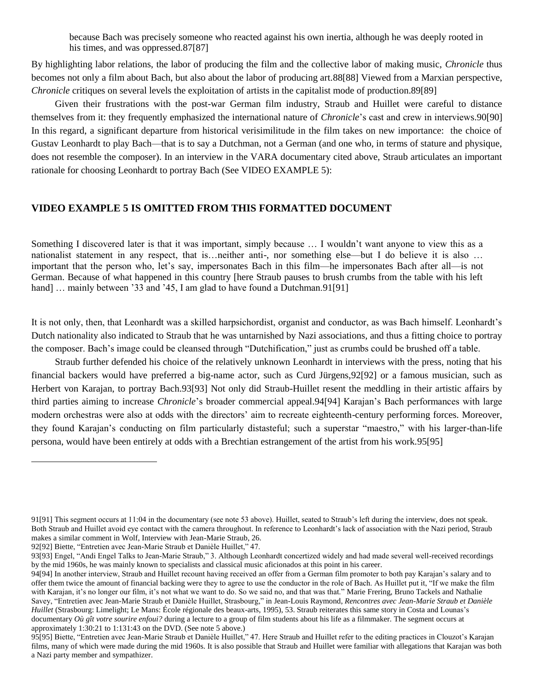because Bach was precisely someone who reacted against his own inertia, although he was deeply rooted in his times, and was oppressed.87[87]

By highlighting labor relations, the labor of producing the film and the collective labor of making music, *Chronicle* thus becomes not only a film about Bach, but also about the labor of producing art.88[88] Viewed from a Marxian perspective, *Chronicle* critiques on several levels the exploitation of artists in the capitalist mode of production.89[89]

Given their frustrations with the post-war German film industry, Straub and Huillet were careful to distance themselves from it: they frequently emphasized the international nature of *Chronicle*'s cast and crew in interviews.90[90] In this regard, a significant departure from historical verisimilitude in the film takes on new importance: the choice of Gustav Leonhardt to play Bach—that is to say a Dutchman, not a German (and one who, in terms of stature and physique, does not resemble the composer). In an interview in the VARA documentary cited above, Straub articulates an important rationale for choosing Leonhardt to portray Bach (See VIDEO EXAMPLE 5):

# **VIDEO EXAMPLE 5 IS OMITTED FROM THIS FORMATTED DOCUMENT**

Something I discovered later is that it was important, simply because … I wouldn't want anyone to view this as a nationalist statement in any respect, that is…neither anti-, nor something else—but I do believe it is also … important that the person who, let's say, impersonates Bach in this film—he impersonates Bach after all—is not German. Because of what happened in this country [here Straub pauses to brush crumbs from the table with his left hand] ... mainly between '33 and '45, I am glad to have found a Dutchman.91[91]

It is not only, then, that Leonhardt was a skilled harpsichordist, organist and conductor, as was Bach himself. Leonhardt's Dutch nationality also indicated to Straub that he was untarnished by Nazi associations, and thus a fitting choice to portray the composer. Bach's image could be cleansed through "Dutchification," just as crumbs could be brushed off a table.

Straub further defended his choice of the relatively unknown Leonhardt in interviews with the press, noting that his financial backers would have preferred a big-name actor, such as Curd Jürgens,92[92] or a famous musician, such as Herbert von Karajan, to portray Bach.93[93] Not only did Straub-Huillet resent the meddling in their artistic affairs by third parties aiming to increase *Chronicle*'s broader commercial appeal.94[94] Karajan's Bach performances with large modern orchestras were also at odds with the directors' aim to recreate eighteenth-century performing forces. Moreover, they found Karajan's conducting on film particularly distasteful; such a superstar "maestro," with his larger-than-life persona, would have been entirely at odds with a Brechtian estrangement of the artist from his work.95[95]

<sup>91[91]</sup> This segment occurs at 11:04 in the documentary (see note 53 above). Huillet, seated to Straub's left during the interview, does not speak. Both Straub and Huillet avoid eye contact with the camera throughout. In reference to Leonhardt's lack of association with the Nazi period, Straub makes a similar comment in Wolf, Interview with Jean-Marie Straub, 26.

<sup>92[92]</sup> Biette, "Entretien avec Jean-Marie Straub et Danièle Huillet," 47.

<sup>93[93]</sup> Engel, "Andi Engel Talks to Jean-Marie Straub," 3. Although Leonhardt concertized widely and had made several well-received recordings by the mid 1960s, he was mainly known to specialists and classical music aficionados at this point in his career.

<sup>94[94]</sup> In another interview, Straub and Huillet recount having received an offer from a German film promoter to both pay Karajan's salary and to offer them twice the amount of financial backing were they to agree to use the conductor in the role of Bach. As Huillet put it, "If we make the film with Karajan, it's no longer our film, it's not what we want to do. So we said no, and that was that." Marie Frering, Bruno Tackels and Nathalie Savey, "Entretien avec Jean-Marie Straub et Danièle Huillet, Strasbourg," in Jean-Louis Raymond, *Rencontres avec Jean-Marie Straub et Danièle Huillet* (Strasbourg: Limelight; Le Mans: École régionale des beaux-arts, 1995), 53. Straub reiterates this same story in Costa and Lounas's documentary *Où gît votre sourire enfoui?* during a lecture to a group of film students about his life as a filmmaker. The segment occurs at approximately 1:30:21 to 1:131:43 on the DVD. (See note 5 above.)

<sup>95[95]</sup> Biette, "Entretien avec Jean-Marie Straub et Danièle Huillet," 47. Here Straub and Huillet refer to the editing practices in Clouzot's Karajan films, many of which were made during the mid 1960s. It is also possible that Straub and Huillet were familiar with allegations that Karajan was both a Nazi party member and sympathizer.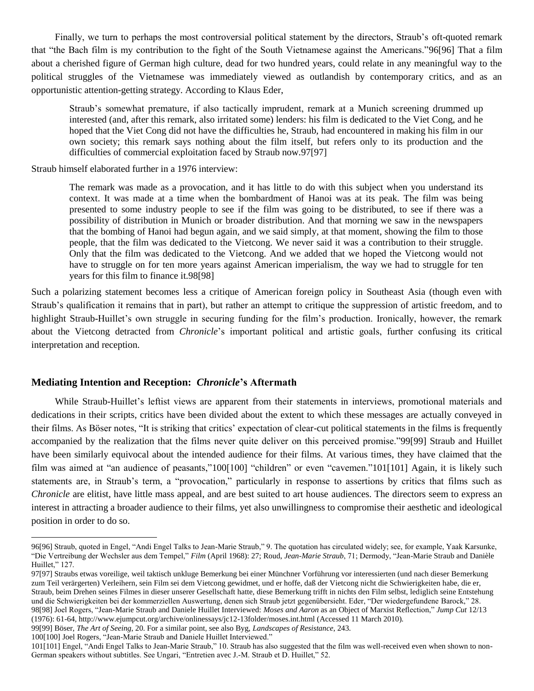Finally, we turn to perhaps the most controversial political statement by the directors, Straub's oft-quoted remark that "the Bach film is my contribution to the fight of the South Vietnamese against the Americans."96[96] That a film about a cherished figure of German high culture, dead for two hundred years, could relate in any meaningful way to the political struggles of the Vietnamese was immediately viewed as outlandish by contemporary critics, and as an opportunistic attention-getting strategy. According to Klaus Eder,

Straub's somewhat premature, if also tactically imprudent, remark at a Munich screening drummed up interested (and, after this remark, also irritated some) lenders: his film is dedicated to the Viet Cong, and he hoped that the Viet Cong did not have the difficulties he, Straub, had encountered in making his film in our own society; this remark says nothing about the film itself, but refers only to its production and the difficulties of commercial exploitation faced by Straub now.97[97]

Straub himself elaborated further in a 1976 interview:

The remark was made as a provocation, and it has little to do with this subject when you understand its context. It was made at a time when the bombardment of Hanoi was at its peak. The film was being presented to some industry people to see if the film was going to be distributed, to see if there was a possibility of distribution in Munich or broader distribution. And that morning we saw in the newspapers that the bombing of Hanoi had begun again, and we said simply, at that moment, showing the film to those people, that the film was dedicated to the Vietcong. We never said it was a contribution to their struggle. Only that the film was dedicated to the Vietcong. And we added that we hoped the Vietcong would not have to struggle on for ten more years against American imperialism, the way we had to struggle for ten years for this film to finance it.98[98]

Such a polarizing statement becomes less a critique of American foreign policy in Southeast Asia (though even with Straub's qualification it remains that in part), but rather an attempt to critique the suppression of artistic freedom, and to highlight Straub-Huillet's own struggle in securing funding for the film's production. Ironically, however, the remark about the Vietcong detracted from *Chronicle*'s important political and artistic goals, further confusing its critical interpretation and reception.

#### **Mediating Intention and Reception:** *Chronicle***'s Aftermath**

While Straub-Huillet's leftist views are apparent from their statements in interviews, promotional materials and dedications in their scripts, critics have been divided about the extent to which these messages are actually conveyed in their films. As Böser notes, "It is striking that critics' expectation of clear-cut political statements in the films is frequently accompanied by the realization that the films never quite deliver on this perceived promise."99[99] Straub and Huillet have been similarly equivocal about the intended audience for their films. At various times, they have claimed that the film was aimed at "an audience of peasants,"100[100] "children" or even "cavemen."101[101] Again, it is likely such statements are, in Straub's term, a "provocation," particularly in response to assertions by critics that films such as *Chronicle* are elitist, have little mass appeal, and are best suited to art house audiences. The directors seem to express an interest in attracting a broader audience to their films, yet also unwillingness to compromise their aesthetic and ideological position in order to do so.

99[99] Böser, *The Art of Seeing*, 20. For a similar point, see also Byg, *Landscapes of Resistance*, 243.

<sup>96[96]</sup> Straub, quoted in Engel, "Andi Engel Talks to Jean-Marie Straub," 9. The quotation has circulated widely; see, for example, Yaak Karsunke, "Die Vertreibung der Wechsler aus dem Tempel," Film (April 1968): 27; Roud, Jean-Marie Straub, 71; Dermody, "Jean-Marie Straub and Danièle Huillet." 127.

<sup>97[97]</sup> Straubs etwas voreilige, weil taktisch unkluge Bemerkung bei einer Münchner Vorführung vor interessierten (und nach dieser Bemerkung zum Teil verärgerten) Verleihern, sein Film sei dem Vietcong gewidmet, und er hoffe, daß der Vietcong nicht die Schwierigkeiten habe, die er, Straub, beim Drehen seines Filmes in dieser unserer Gesellschaft hatte, diese Bemerkung trifft in nichts den Film selbst, lediglich seine Entstehung und die Schwierigkeiten bei der kommerziellen Auswertung, denen sich Straub jetzt gegenübersieht. Eder, "Der wiedergefundene Barock," 28. 98[98] Joel Rogers, "Jean-Marie Straub and Daniele Huillet Interviewed: *Moses and Aaron* as an Object of Marxist Reflection," *Jump Cut* 12/13 (1976): 61-64, http://www.ejumpcut.org/archive/onlinessays/jc12-13folder/moses.int.html (Accessed 11 March 2010).

<sup>100[100]</sup> Joel Rogers, "Jean-Marie Straub and Daniele Huillet Interviewed."

<sup>101[101]</sup> Engel, "Andi Engel Talks to Jean-Marie Straub," 10. Straub has also suggested that the film was well-received even when shown to non-German speakers without subtitles. See Ungari, "Entretien avec J.-M. Straub et D. Huillet," 52.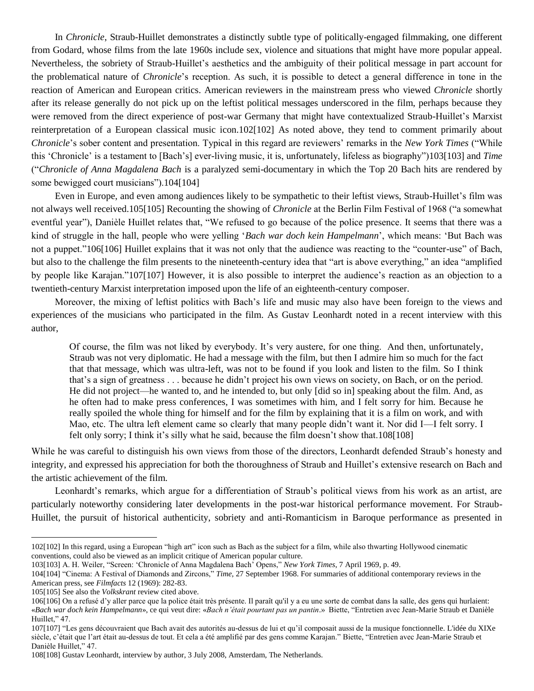In *Chronicle*, Straub-Huillet demonstrates a distinctly subtle type of politically-engaged filmmaking, one different from Godard, whose films from the late 1960s include sex, violence and situations that might have more popular appeal. Nevertheless, the sobriety of Straub-Huillet's aesthetics and the ambiguity of their political message in part account for the problematical nature of *Chronicle*'s reception. As such, it is possible to detect a general difference in tone in the reaction of American and European critics. American reviewers in the mainstream press who viewed *Chronicle* shortly after its release generally do not pick up on the leftist political messages underscored in the film, perhaps because they were removed from the direct experience of post-war Germany that might have contextualized Straub-Huillet's Marxist reinterpretation of a European classical music icon.102[102] As noted above, they tend to comment primarily about *Chronicle*'s sober content and presentation. Typical in this regard are reviewers' remarks in the *New York Times* ("While this ‗Chronicle' is a testament to [Bach's] ever-living music, it is, unfortunately, lifeless as biography‖)103[103] and *Time* (―*Chronicle of Anna Magdalena Bach* is a paralyzed semi-documentary in which the Top 20 Bach hits are rendered by some bewigged court musicians").104[104]

Even in Europe, and even among audiences likely to be sympathetic to their leftist views, Straub-Huillet's film was not always well received.105[105] Recounting the showing of *Chronicle* at the Berlin Film Festival of 1968 ("a somewhat eventful year"), Danièle Huillet relates that, "We refused to go because of the police presence. It seems that there was a kind of struggle in the hall, people who were yelling '*Bach war doch kein Hampelmann*', which means: 'But Bach was not a puppet."106[106] Huillet explains that it was not only that the audience was reacting to the "counter-use" of Bach, but also to the challenge the film presents to the nineteenth-century idea that "art is above everything," an idea "amplified" by people like Karajan."107[107] However, it is also possible to interpret the audience's reaction as an objection to a twentieth-century Marxist interpretation imposed upon the life of an eighteenth-century composer.

Moreover, the mixing of leftist politics with Bach's life and music may also have been foreign to the views and experiences of the musicians who participated in the film. As Gustav Leonhardt noted in a recent interview with this author,

Of course, the film was not liked by everybody. It's very austere, for one thing. And then, unfortunately, Straub was not very diplomatic. He had a message with the film, but then I admire him so much for the fact that that message, which was ultra-left, was not to be found if you look and listen to the film. So I think that's a sign of greatness . . . because he didn't project his own views on society, on Bach, or on the period. He did not project—he wanted to, and he intended to, but only [did so in] speaking about the film. And, as he often had to make press conferences, I was sometimes with him, and I felt sorry for him. Because he really spoiled the whole thing for himself and for the film by explaining that it is a film on work, and with Mao, etc. The ultra left element came so clearly that many people didn't want it. Nor did I—I felt sorry. I felt only sorry; I think it's silly what he said, because the film doesn't show that.108[108]

While he was careful to distinguish his own views from those of the directors, Leonhardt defended Straub's honesty and integrity, and expressed his appreciation for both the thoroughness of Straub and Huillet's extensive research on Bach and the artistic achievement of the film.

Leonhardt's remarks, which argue for a differentiation of Straub's political views from his work as an artist, are particularly noteworthy considering later developments in the post-war historical performance movement. For Straub-Huillet, the pursuit of historical authenticity, sobriety and anti-Romanticism in Baroque performance as presented in

<sup>102[102]</sup> In this regard, using a European "high art" icon such as Bach as the subject for a film, while also thwarting Hollywood cinematic conventions, could also be viewed as an implicit critique of American popular culture.

<sup>103[103]</sup> A. H. Weiler, "Screen: 'Chronicle of Anna Magdalena Bach' Opens," *New York Times*, 7 April 1969, p. 49.

<sup>104[104]</sup> ―Cinema: A Festival of Diamonds and Zircons,‖ *Time*, 27 September 1968. For summaries of additional contemporary reviews in the American press, see *Filmfacts* 12 (1969): 282-83.

<sup>105[105]</sup> See also the *Volkskrant* review cited above.

<sup>106[106]</sup> On a refusé d'y aller parce que la police était très présente. Il paraît qu'il y a eu une sorte de combat dans la salle, des gens qui hurlaient: «Bach war doch kein Hampelmann», ce qui veut dire: «Bach n'était pourtant pas un pantin.» Biette, "Entretien avec Jean-Marie Straub et Danièle Huillet," 47.

<sup>107[107] &</sup>quot;Les gens découvraient que Bach avait des autorités au-dessus de lui et qu'il composait aussi de la musique fonctionnelle. L'idée du XIXe siècle, c'était que l'art était au-dessus de tout. Et cela a été amplifié par des gens comme Karajan." Biette, "Entretien avec Jean-Marie Straub et Danièle Huillet," 47.

<sup>108[108]</sup> Gustav Leonhardt, interview by author, 3 July 2008, Amsterdam, The Netherlands.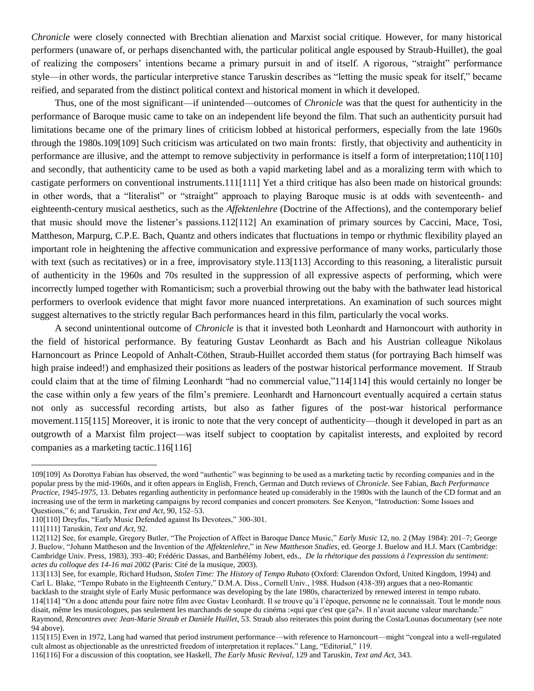*Chronicle* were closely connected with Brechtian alienation and Marxist social critique. However, for many historical performers (unaware of, or perhaps disenchanted with, the particular political angle espoused by Straub-Huillet), the goal of realizing the composers' intentions became a primary pursuit in and of itself. A rigorous, "straight" performance style—in other words, the particular interpretive stance Taruskin describes as "letting the music speak for itself," became reified, and separated from the distinct political context and historical moment in which it developed.

Thus, one of the most significant—if unintended—outcomes of *Chronicle* was that the quest for authenticity in the performance of Baroque music came to take on an independent life beyond the film. That such an authenticity pursuit had limitations became one of the primary lines of criticism lobbed at historical performers, especially from the late 1960s through the 1980s.109[109] Such criticism was articulated on two main fronts: firstly, that objectivity and authenticity in performance are illusive, and the attempt to remove subjectivity in performance is itself a form of interpretation;110[110] and secondly, that authenticity came to be used as both a vapid marketing label and as a moralizing term with which to castigate performers on conventional instruments.111[111] Yet a third critique has also been made on historical grounds: in other words, that a "literalist" or "straight" approach to playing Baroque music is at odds with seventeenth- and eighteenth-century musical aesthetics, such as the *Affektenlehre* (Doctrine of the Affections), and the contemporary belief that music should move the listener's passions.112[112] An examination of primary sources by Caccini, Mace, Tosi, Mattheson, Marpurg, C.P.E. Bach, Quantz and others indicates that fluctuations in tempo or rhythmic flexibility played an important role in heightening the affective communication and expressive performance of many works, particularly those with text (such as recitatives) or in a free, improvisatory style.113[113] According to this reasoning, a literalistic pursuit of authenticity in the 1960s and 70s resulted in the suppression of all expressive aspects of performing, which were incorrectly lumped together with Romanticism; such a proverbial throwing out the baby with the bathwater lead historical performers to overlook evidence that might favor more nuanced interpretations. An examination of such sources might suggest alternatives to the strictly regular Bach performances heard in this film, particularly the vocal works.

A second unintentional outcome of *Chronicle* is that it invested both Leonhardt and Harnoncourt with authority in the field of historical performance. By featuring Gustav Leonhardt as Bach and his Austrian colleague Nikolaus Harnoncourt as Prince Leopold of Anhalt-Cöthen, Straub-Huillet accorded them status (for portraying Bach himself was high praise indeed!) and emphasized their positions as leaders of the postwar historical performance movement. If Straub could claim that at the time of filming Leonhardt "had no commercial value,"114[114] this would certainly no longer be the case within only a few years of the film's premiere. Leonhardt and Harnoncourt eventually acquired a certain status not only as successful recording artists, but also as father figures of the post-war historical performance movement.115[115] Moreover, it is ironic to note that the very concept of authenticity—though it developed in part as an outgrowth of a Marxist film project—was itself subject to cooptation by capitalist interests, and exploited by record companies as a marketing tactic.116[116]

 $\overline{a}$ 

114[114] ―On a donc attendu pour faire notre film avec Gustav Leonhardt. Il se trouve qu'à l'époque, personne ne le connaissait. Tout le monde nous disait, même les musicologues, pas seulement les marchands de soupe du cinéma :«qui que c'est que ça?». Il n'avait aucune valeur marchande." Raymond, *Rencontres avec Jean-Marie Straub et Danièle Huillet*, 53. Straub also reiterates this point during the Costa/Lounas documentary (see note 94 above).

<sup>109[109]</sup> As Dorottya Fabian has observed, the word "authentic" was beginning to be used as a marketing tactic by recording companies and in the popular press by the mid-1960s, and it often appears in English, French, German and Dutch reviews of *Chronicle*. See Fabian, *Bach Performance Practice, 1945-1975*, 13. Debates regarding authenticity in performance heated up considerably in the 1980s with the launch of the CD format and an increasing use of the term in marketing campaigns by record companies and concert promoters. See Kenyon, "Introduction: Some Issues and Questions," 6; and Taruskin, *Text and Act*, 90, 152–53.

<sup>110[110]</sup> Dreyfus, "Early Music Defended against Its Devotees," 300-301.

<sup>111[111]</sup> Taruskin, *Text and Act*, 92.

<sup>112[112]</sup> See, for example, Gregory Butler, "The Projection of Affect in Baroque Dance Music," *Early Music* 12, no. 2 (May 1984): 201-7; George J. Buelow, "Johann Mattheson and the Invention of the *Affektenlehre*," in *New Mattheson Studies*, ed. George J. Buelow and H.J. Marx (Cambridge: Cambridge Univ. Press, 1983), 393–40; Frédéric Dassas, and Barthélémy Jobert, eds., *De la rhétorique des passions à l'expression du sentiment: actes du colloque des 14-16 mai 2002* (Paris: Cité de la musique, 2003).

<sup>113[113]</sup> See, for example, Richard Hudson, *Stolen Time: The History of Tempo Rubato* (Oxford: Clarendon Oxford, United Kingdom, 1994) and Carl L. Blake, "Tempo Rubato in the Eighteenth Century," D.M.A. Diss., Cornell Univ., 1988. Hudson (438-39) argues that a neo-Romantic backlash to the straight style of Early Music performance was developing by the late 1980s, characterized by renewed interest in tempo rubato.

<sup>115[115]</sup> Even in 1972, Lang had warned that period instrument performance—with reference to Harnoncourt—might "congeal into a well-regulated cult almost as objectionable as the unrestricted freedom of interpretation it replaces." Lang, "Editorial," 119.

<sup>116[116]</sup> For a discussion of this cooptation, see Haskell, *The Early Music Revival*, 129 and Taruskin, *Text and Act*, 343.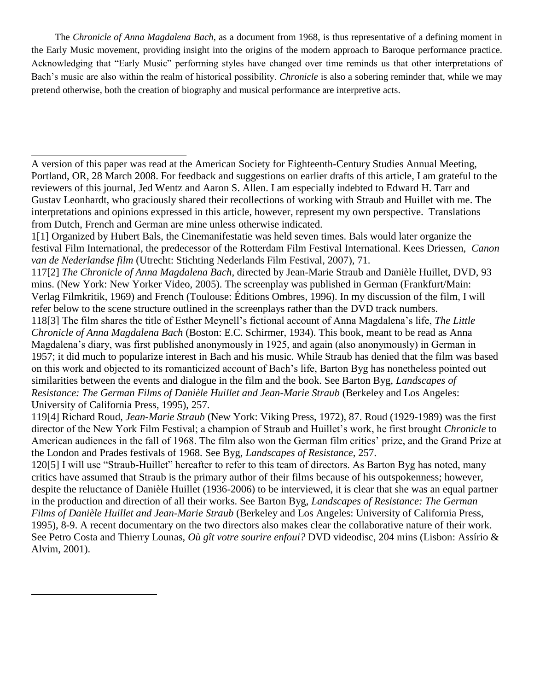The *Chronicle of Anna Magdalena Bach*, as a document from 1968, is thus representative of a defining moment in the Early Music movement, providing insight into the origins of the modern approach to Baroque performance practice. Acknowledging that "Early Music" performing styles have changed over time reminds us that other interpretations of Bach's music are also within the realm of historical possibility. *Chronicle* is also a sobering reminder that, while we may pretend otherwise, both the creation of biography and musical performance are interpretive acts.

1[1] Organized by Hubert Bals, the Cinemanifestatie was held seven times. Bals would later organize the festival Film International, the predecessor of the Rotterdam Film Festival International. Kees Driessen, *Canon van de Nederlandse film* (Utrecht: Stichting Nederlands Film Festival, 2007), 71.

117[2] *The Chronicle of Anna Magdalena Bach*, directed by Jean-Marie Straub and Danièle Huillet, DVD, 93 mins. (New York: New Yorker Video, 2005). The screenplay was published in German (Frankfurt/Main: Verlag Filmkritik, 1969) and French (Toulouse: Éditions Ombres, 1996). In my discussion of the film, I will refer below to the scene structure outlined in the screenplays rather than the DVD track numbers.

118[3] The film shares the title of Esther Meynell's fictional account of Anna Magdalena's life, *The Little Chronicle of Anna Magdalena Bach* (Boston: E.C. Schirmer, 1934). This book, meant to be read as Anna Magdalena's diary, was first published anonymously in 1925, and again (also anonymously) in German in 1957; it did much to popularize interest in Bach and his music. While Straub has denied that the film was based on this work and objected to its romanticized account of Bach's life, Barton Byg has nonetheless pointed out similarities between the events and dialogue in the film and the book. See Barton Byg, *Landscapes of Resistance: The German Films of Danièle Huillet and Jean-Marie Straub* (Berkeley and Los Angeles: University of California Press, 1995), 257.

119[4] Richard Roud, *Jean-Marie Straub* (New York: Viking Press, 1972), 87. Roud (1929-1989) was the first director of the New York Film Festival; a champion of Straub and Huillet's work, he first brought *Chronicle* to American audiences in the fall of 1968. The film also won the German film critics' prize, and the Grand Prize at the London and Prades festivals of 1968. See Byg, *Landscapes of Resistance*, 257.

120[5] I will use "Straub-Huillet" hereafter to refer to this team of directors. As Barton Byg has noted, many critics have assumed that Straub is the primary author of their films because of his outspokenness; however, despite the reluctance of Danièle Huillet (1936-2006) to be interviewed, it is clear that she was an equal partner in the production and direction of all their works. See Barton Byg, *Landscapes of Resistance: The German Films of Danièle Huillet and Jean-Marie Straub* (Berkeley and Los Angeles: University of California Press, 1995), 8-9. A recent documentary on the two directors also makes clear the collaborative nature of their work. See Petro Costa and Thierry Lounas, *Où gît votre sourire enfoui?* DVD videodisc, 204 mins (Lisbon: Assírio & Alvim, 2001).

A version of this paper was read at the American Society for Eighteenth-Century Studies Annual Meeting, Portland, OR, 28 March 2008. For feedback and suggestions on earlier drafts of this article, I am grateful to the reviewers of this journal, Jed Wentz and Aaron S. Allen. I am especially indebted to Edward H. Tarr and Gustav Leonhardt, who graciously shared their recollections of working with Straub and Huillet with me. The interpretations and opinions expressed in this article, however, represent my own perspective. Translations from Dutch, French and German are mine unless otherwise indicated.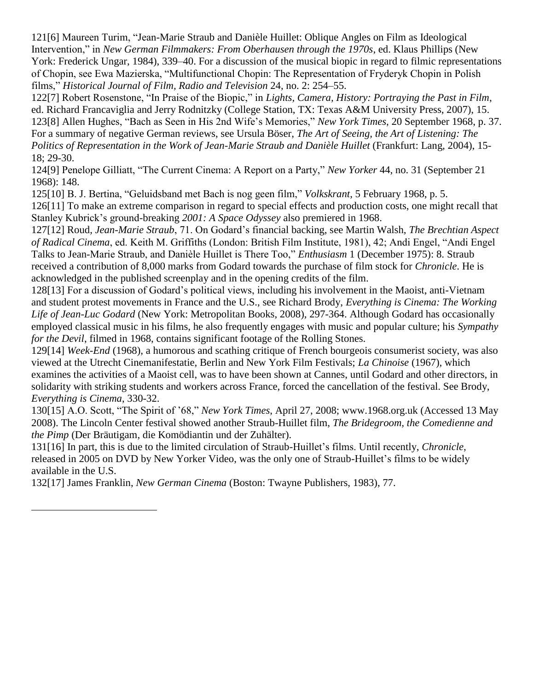121[6] Maureen Turim, "Jean-Marie Straub and Danièle Huillet: Oblique Angles on Film as Ideological Intervention," in *New German Filmmakers: From Oberhausen through the 1970s*, ed. Klaus Phillips (New York: Frederick Ungar, 1984), 339–40. For a discussion of the musical biopic in regard to filmic representations of Chopin, see Ewa Mazierska, "Multifunctional Chopin: The Representation of Fryderyk Chopin in Polish films,‖ *Historical Journal of Film, Radio and Television* 24, no. 2: 254–55.

122[7] Robert Rosenstone, "In Praise of the Biopic," in *Lights, Camera, History: Portraying the Past in Film*, ed. Richard Francaviglia and Jerry Rodnitzky (College Station, TX: Texas A&M University Press, 2007), 15. 123[8] Allen Hughes, "Bach as Seen in His 2nd Wife's Memories," *New York Times*, 20 September 1968, p. 37. For a summary of negative German reviews, see Ursula Böser, *The Art of Seeing, the Art of Listening: The Politics of Representation in the Work of Jean-Marie Straub and Danièle Huillet* (Frankfurt: Lang, 2004), 15- 18; 29-30.

124[9] Penelope Gilliatt, "The Current Cinema: A Report on a Party," *New Yorker* 44, no. 31 (September 21) 1968): 148.

125[10] B. J. Bertina, "Geluidsband met Bach is nog geen film," *Volkskrant*, 5 February 1968, p. 5.

126[11] To make an extreme comparison in regard to special effects and production costs, one might recall that Stanley Kubrick's ground-breaking *2001: A Space Odyssey* also premiered in 1968.

127[12] Roud, *Jean-Marie Straub*, 71. On Godard's financial backing, see Martin Walsh, *The Brechtian Aspect of Radical Cinema*, ed. Keith M. Griffiths (London: British Film Institute, 1981), 42; Andi Engel, "Andi Engel Talks to Jean-Marie Straub, and Danièle Huillet is There Too," *Enthusiasm* 1 (December 1975): 8. Straub received a contribution of 8,000 marks from Godard towards the purchase of film stock for *Chronicle*. He is acknowledged in the published screenplay and in the opening credits of the film.

128[13] For a discussion of Godard's political views, including his involvement in the Maoist, anti-Vietnam and student protest movements in France and the U.S., see Richard Brody, *Everything is Cinema: The Working Life of Jean-Luc Godard* (New York: Metropolitan Books, 2008), 297-364. Although Godard has occasionally employed classical music in his films, he also frequently engages with music and popular culture; his *Sympathy for the Devil*, filmed in 1968, contains significant footage of the Rolling Stones.

129[14] *Week-End* (1968), a humorous and scathing critique of French bourgeois consumerist society, was also viewed at the Utrecht Cinemanifestatie, Berlin and New York Film Festivals; *La Chinoise* (1967), which examines the activities of a Maoist cell, was to have been shown at Cannes, until Godard and other directors, in solidarity with striking students and workers across France, forced the cancellation of the festival. See Brody, *Everything is Cinema*, 330-32.

130[15] A.O. Scott, "The Spirit of '68," *New York Times*, April 27, 2008; www.1968.org.uk (Accessed 13 May 2008). The Lincoln Center festival showed another Straub-Huillet film, *The Bridegroom, the Comedienne and the Pimp* (Der Bräutigam, die Komödiantin und der Zuhälter).

131[16] In part, this is due to the limited circulation of Straub-Huillet's films. Until recently, *Chronicle*, released in 2005 on DVD by New Yorker Video, was the only one of Straub-Huillet's films to be widely available in the U.S.

132[17] James Franklin, *New German Cinema* (Boston: Twayne Publishers, 1983), 77.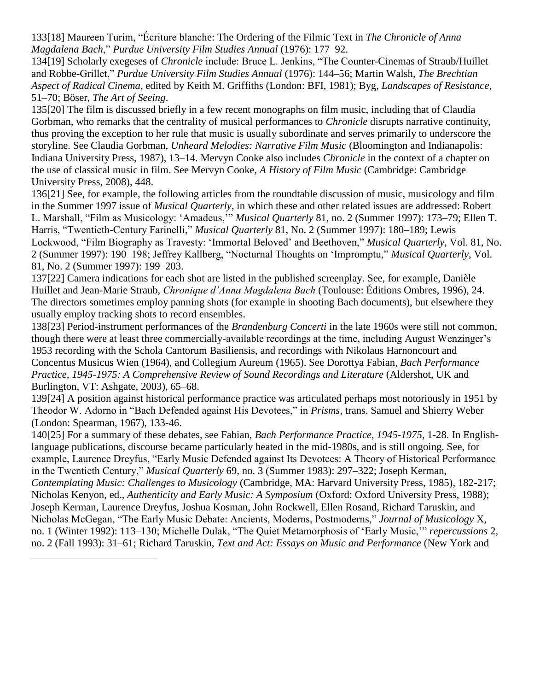133[18] Maureen Turim, ―Écriture blanche: The Ordering of the Filmic Text in *The Chronicle of Anna Magdalena Bach*,‖ *Purdue University Film Studies Annual* (1976): 177–92.

134[19] Scholarly exegeses of *Chronicle* include: Bruce L. Jenkins, "The Counter-Cinemas of Straub/Huillet and Robbe-Grillet,‖ *Purdue University Film Studies Annual* (1976): 144–56; Martin Walsh, *The Brechtian Aspect of Radical Cinema*, edited by Keith M. Griffiths (London: BFI, 1981); Byg, *Landscapes of Resistance*, 51–70; Böser, *The Art of Seeing*.

135[20] The film is discussed briefly in a few recent monographs on film music, including that of Claudia Gorbman, who remarks that the centrality of musical performances to *Chronicle* disrupts narrative continuity, thus proving the exception to her rule that music is usually subordinate and serves primarily to underscore the storyline. See Claudia Gorbman, *Unheard Melodies: Narrative Film Music* (Bloomington and Indianapolis: Indiana University Press, 1987), 13–14. Mervyn Cooke also includes *Chronicle* in the context of a chapter on the use of classical music in film. See Mervyn Cooke, *A History of Film Music* (Cambridge: Cambridge University Press, 2008), 448.

136[21] See, for example, the following articles from the roundtable discussion of music, musicology and film in the Summer 1997 issue of *Musical Quarterly*, in which these and other related issues are addressed: Robert L. Marshall, "Film as Musicology: 'Amadeus, *"" Musical Quarterly* 81, no. 2 (Summer 1997): 173–79; Ellen T. Harris, "Twentieth-Century Farinelli," *Musical Quarterly* 81, No. 2 (Summer 1997): 180-189; Lewis Lockwood, "Film Biography as Travesty: 'Immortal Beloved' and Beethoven," *Musical Quarterly*, Vol. 81, No. 2 (Summer 1997): 190–198; Jeffrey Kallberg, "Nocturnal Thoughts on 'Impromptu," *Musical Quarterly*, Vol. 81, No. 2 (Summer 1997): 199–203.

137[22] Camera indications for each shot are listed in the published screenplay. See, for example, Danièle Huillet and Jean-Marie Straub, *Chronique d'Anna Magdalena Bach* (Toulouse: Éditions Ombres, 1996), 24. The directors sometimes employ panning shots (for example in shooting Bach documents), but elsewhere they usually employ tracking shots to record ensembles.

138[23] Period-instrument performances of the *Brandenburg Concerti* in the late 1960s were still not common, though there were at least three commercially-available recordings at the time, including August Wenzinger's 1953 recording with the Schola Cantorum Basiliensis, and recordings with Nikolaus Harnoncourt and Concentus Musicus Wien (1964), and Collegium Aureum (1965). See Dorottya Fabian, *Bach Performance Practice, 1945-1975: A Comprehensive Review of Sound Recordings and Literature* (Aldershot, UK and Burlington, VT: Ashgate, 2003), 65–68.

139[24] A position against historical performance practice was articulated perhaps most notoriously in 1951 by Theodor W. Adorno in "Bach Defended against His Devotees," in *Prisms*, trans. Samuel and Shierry Weber (London: Spearman, 1967), 133-46.

140[25] For a summary of these debates, see Fabian, *Bach Performance Practice, 1945-1975*, 1-28. In Englishlanguage publications, discourse became particularly heated in the mid-1980s, and is still ongoing. See, for example, Laurence Dreyfus, "Early Music Defended against Its Devotees: A Theory of Historical Performance in the Twentieth Century," *Musical Quarterly* 69, no. 3 (Summer 1983): 297–322; Joseph Kerman, *Contemplating Music: Challenges to Musicology* (Cambridge, MA: Harvard University Press, 1985), 182-217; Nicholas Kenyon, ed., *Authenticity and Early Music: A Symposium* (Oxford: Oxford University Press, 1988); Joseph Kerman, Laurence Dreyfus, Joshua Kosman, John Rockwell, Ellen Rosand, Richard Taruskin, and Nicholas McGegan, "The Early Music Debate: Ancients, Moderns, Postmoderns," *Journal of Musicology* X, no. 1 (Winter 1992): 113–130; Michelle Dulak, "The Quiet Metamorphosis of 'Early Music," *repercussions* 2, no. 2 (Fall 1993): 31–61; Richard Taruskin, *Text and Act: Essays on Music and Performance* (New York and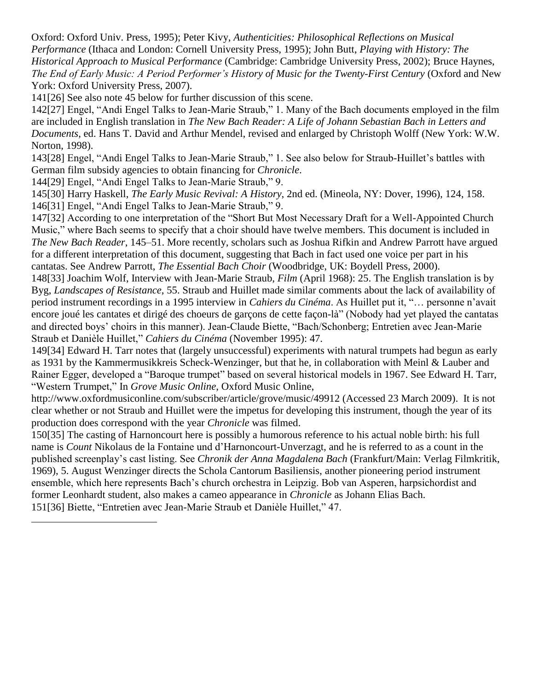Oxford: Oxford Univ. Press, 1995); Peter Kivy, *Authenticities: Philosophical Reflections on Musical Performance* (Ithaca and London: Cornell University Press, 1995); John Butt, *Playing with History: The Historical Approach to Musical Performance* (Cambridge: Cambridge University Press, 2002); Bruce Haynes, *The End of Early Music: A Period Performer's History of Music for the Twenty-First Century* (Oxford and New York: Oxford University Press, 2007).

141[26] See also note 45 below for further discussion of this scene.

142[27] Engel, "Andi Engel Talks to Jean-Marie Straub," 1. Many of the Bach documents employed in the film are included in English translation in *The New Bach Reader: A Life of Johann Sebastian Bach in Letters and Documents*, ed. Hans T. David and Arthur Mendel, revised and enlarged by Christoph Wolff (New York: W.W. Norton, 1998).

143[28] Engel, "Andi Engel Talks to Jean-Marie Straub," 1. See also below for Straub-Huillet's battles with German film subsidy agencies to obtain financing for *Chronicle*.

144[29] Engel, "Andi Engel Talks to Jean-Marie Straub," 9.

 $\overline{a}$ 

145[30] Harry Haskell, *The Early Music Revival: A History*, 2nd ed. (Mineola, NY: Dover, 1996), 124, 158. 146<sup>[31]</sup> Engel, "Andi Engel Talks to Jean-Marie Straub," 9.

147[32] According to one interpretation of the "Short But Most Necessary Draft for a Well-Appointed Church Music," where Bach seems to specify that a choir should have twelve members. This document is included in *The New Bach Reader*, 145–51. More recently, scholars such as Joshua Rifkin and Andrew Parrott have argued for a different interpretation of this document, suggesting that Bach in fact used one voice per part in his cantatas. See Andrew Parrott, *The Essential Bach Choir* (Woodbridge, UK: Boydell Press, 2000).

148[33] Joachim Wolf, Interview with Jean-Marie Straub, *Film* (April 1968): 25. The English translation is by Byg, *Landscapes of Resistance*, 55. Straub and Huillet made similar comments about the lack of availability of period instrument recordings in a 1995 interview in *Cahiers du Cinéma*. As Huillet put it, "... personne n'avait encore joué les cantates et dirigé des choeurs de garçons de cette façon-là" (Nobody had yet played the cantatas and directed boys' choirs in this manner). Jean-Claude Biette, "Bach/Schonberg; Entretien avec Jean-Marie Straub et Danièle Huillet," Cahiers du Cinéma (November 1995): 47.

149[34] Edward H. Tarr notes that (largely unsuccessful) experiments with natural trumpets had begun as early as 1931 by the Kammermusikkreis Scheck-Wenzinger, but that he, in collaboration with Meinl & Lauber and Rainer Egger, developed a "Baroque trumpet" based on several historical models in 1967. See Edward H. Tarr, "Western Trumpet," In *Grove Music Online*, Oxford Music Online,

http://www.oxfordmusiconline.com/subscriber/article/grove/music/49912 (Accessed 23 March 2009). It is not clear whether or not Straub and Huillet were the impetus for developing this instrument, though the year of its production does correspond with the year *Chronicle* was filmed.

150[35] The casting of Harnoncourt here is possibly a humorous reference to his actual noble birth: his full name is *Count* Nikolaus de la Fontaine und d'Harnoncourt-Unverzagt, and he is referred to as a count in the published screenplay's cast listing. See *Chronik der Anna Magdalena Bach* (Frankfurt/Main: Verlag Filmkritik, 1969), 5. August Wenzinger directs the Schola Cantorum Basiliensis, another pioneering period instrument ensemble, which here represents Bach's church orchestra in Leipzig. Bob van Asperen, harpsichordist and former Leonhardt student, also makes a cameo appearance in *Chronicle* as Johann Elias Bach. 151[36] Biette, "Entretien avec Jean-Marie Straub et Danièle Huillet," 47.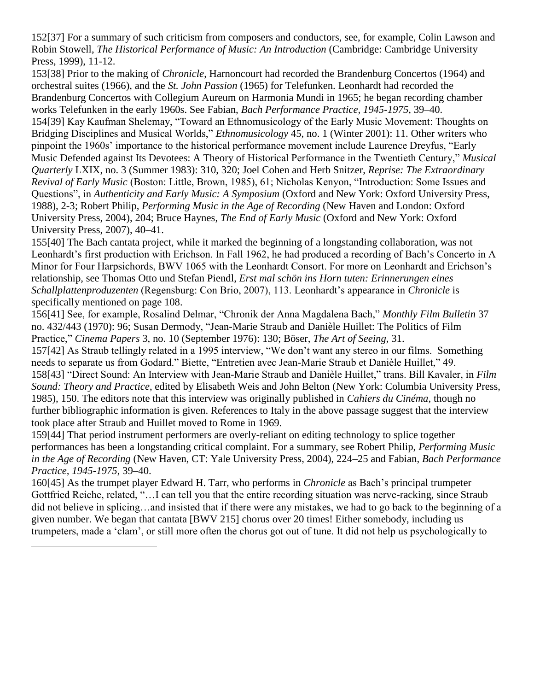152[37] For a summary of such criticism from composers and conductors, see, for example, Colin Lawson and Robin Stowell, *The Historical Performance of Music: An Introduction* (Cambridge: Cambridge University Press, 1999), 11-12.

153[38] Prior to the making of *Chronicle*, Harnoncourt had recorded the Brandenburg Concertos (1964) and orchestral suites (1966), and the *St. John Passion* (1965) for Telefunken. Leonhardt had recorded the Brandenburg Concertos with Collegium Aureum on Harmonia Mundi in 1965; he began recording chamber works Telefunken in the early 1960s. See Fabian, *Bach Performance Practice, 1945-1975*, 39–40. 154[39] Kay Kaufman Shelemay, "Toward an Ethnomusicology of the Early Music Movement: Thoughts on Bridging Disciplines and Musical Worlds," *Ethnomusicology* 45, no. 1 (Winter 2001): 11. Other writers who pinpoint the 1960s' importance to the historical performance movement include Laurence Dreyfus, "Early Music Defended against Its Devotees: A Theory of Historical Performance in the Twentieth Century," *Musical Quarterly* LXIX, no. 3 (Summer 1983): 310, 320; Joel Cohen and Herb Snitzer, *Reprise: The Extraordinary Revival of Early Music* (Boston: Little, Brown, 1985), 61; Nicholas Kenyon, "Introduction: Some Issues and Questions", in *Authenticity and Early Music: A Symposium* (Oxford and New York: Oxford University Press, 1988), 2-3; Robert Philip, *Performing Music in the Age of Recording* (New Haven and London: Oxford University Press, 2004), 204; Bruce Haynes, *The End of Early Music* (Oxford and New York: Oxford University Press, 2007), 40–41.

155[40] The Bach cantata project, while it marked the beginning of a longstanding collaboration, was not Leonhardt's first production with Erichson. In Fall 1962, he had produced a recording of Bach's Concerto in A Minor for Four Harpsichords, BWV 1065 with the Leonhardt Consort. For more on Leonhardt and Erichson's relationship, see Thomas Otto und Stefan Piendl, *Erst mal schön ins Horn tuten: Erinnerungen eines Schallplattenproduzenten* (Regensburg: Con Brio, 2007), 113. Leonhardt's appearance in *Chronicle* is specifically mentioned on page 108.

156[41] See, for example, Rosalind Delmar, "Chronik der Anna Magdalena Bach," *Monthly Film Bulletin* 37 no. 432/443 (1970): 96; Susan Dermody, "Jean-Marie Straub and Danièle Huillet: The Politics of Film Practice,‖ *Cinema Papers* 3, no. 10 (September 1976): 130; Böser, *The Art of Seeing*, 31.

157[42] As Straub tellingly related in a 1995 interview, "We don't want any stereo in our films. Something needs to separate us from Godard." Biette, "Entretien avec Jean-Marie Straub et Danièle Huillet," 49. 158[43] "Direct Sound: An Interview with Jean-Marie Straub and Danièle Huillet," trans. Bill Kavaler, in *Film Sound: Theory and Practice*, edited by Elisabeth Weis and John Belton (New York: Columbia University Press, 1985), 150. The editors note that this interview was originally published in *Cahiers du Cinéma*, though no further bibliographic information is given. References to Italy in the above passage suggest that the interview took place after Straub and Huillet moved to Rome in 1969.

159[44] That period instrument performers are overly-reliant on editing technology to splice together performances has been a longstanding critical complaint. For a summary, see Robert Philip, *Performing Music in the Age of Recording* (New Haven, CT: Yale University Press, 2004), 224–25 and Fabian, *Bach Performance Practice, 1945-1975*, 39–40.

160[45] As the trumpet player Edward H. Tarr, who performs in *Chronicle* as Bach's principal trumpeter Gottfried Reiche, related, "... I can tell you that the entire recording situation was nerve-racking, since Straub did not believe in splicing…and insisted that if there were any mistakes, we had to go back to the beginning of a given number. We began that cantata [BWV 215] chorus over 20 times! Either somebody, including us trumpeters, made a ‗clam', or still more often the chorus got out of tune. It did not help us psychologically to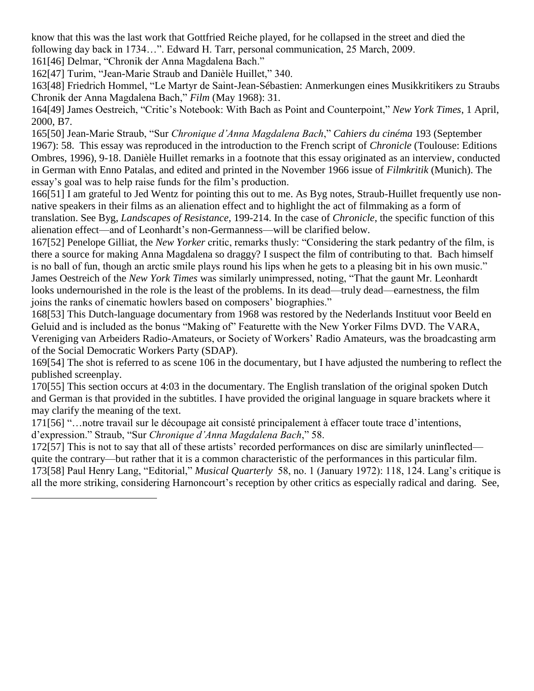know that this was the last work that Gottfried Reiche played, for he collapsed in the street and died the following day back in 1734...". Edward H. Tarr, personal communication, 25 March, 2009.

161[46] Delmar, "Chronik der Anna Magdalena Bach."

 $\overline{a}$ 

162[47] Turim, "Jean-Marie Straub and Danièle Huillet," 340.

163[48] Friedrich Hommel, "Le Martyr de Saint-Jean-Sébastien: Anmerkungen eines Musikkritikers zu Straubs Chronik der Anna Magdalena Bach,‖ *Film* (May 1968): 31.

164[49] James Oestreich, "Critic's Notebook: With Bach as Point and Counterpoint," *New York Times*, 1 April, 2000, B7.

165[50] Jean-Marie Straub, "Sur *Chronique d'Anna Magdalena Bach," Cahiers du cinéma* 193 (September 1967): 58. This essay was reproduced in the introduction to the French script of *Chronicle* (Toulouse: Editions Ombres, 1996), 9-18. Danièle Huillet remarks in a footnote that this essay originated as an interview, conducted in German with Enno Patalas, and edited and printed in the November 1966 issue of *Filmkritik* (Munich). The essay's goal was to help raise funds for the film's production.

166[51] I am grateful to Jed Wentz for pointing this out to me. As Byg notes, Straub-Huillet frequently use nonnative speakers in their films as an alienation effect and to highlight the act of filmmaking as a form of translation. See Byg, *Landscapes of Resistance*, 199-214. In the case of *Chronicle*, the specific function of this alienation effect—and of Leonhardt's non-Germanness—will be clarified below.

167[52] Penelope Gilliat, the *New Yorker* critic, remarks thusly: "Considering the stark pedantry of the film, is there a source for making Anna Magdalena so draggy? I suspect the film of contributing to that. Bach himself is no ball of fun, though an arctic smile plays round his lips when he gets to a pleasing bit in his own music." James Oestreich of the *New York Times* was similarly unimpressed, noting, "That the gaunt Mr. Leonhardt looks undernourished in the role is the least of the problems. In its dead—truly dead—earnestness, the film joins the ranks of cinematic howlers based on composers' biographies."

168[53] This Dutch-language documentary from 1968 was restored by the Nederlands Instituut voor Beeld en Geluid and is included as the bonus "Making of" Featurette with the New Yorker Films DVD. The VARA, Vereniging van Arbeiders Radio-Amateurs, or Society of Workers' Radio Amateurs, was the broadcasting arm of the Social Democratic Workers Party (SDAP).

169[54] The shot is referred to as scene 106 in the documentary, but I have adjusted the numbering to reflect the published screenplay.

170[55] This section occurs at 4:03 in the documentary. The English translation of the original spoken Dutch and German is that provided in the subtitles. I have provided the original language in square brackets where it may clarify the meaning of the text.

171[56] ―…notre travail sur le découpage ait consisté principalement à effacer toute trace d'intentions, d'expression." Straub, "Sur *Chronique d'Anna Magdalena Bach*," 58.

172[57] This is not to say that all of these artists' recorded performances on disc are similarly uninflected quite the contrary—but rather that it is a common characteristic of the performances in this particular film. 173[58] Paul Henry Lang, "Editorial," *Musical Quarterly* 58, no. 1 (January 1972): 118, 124. Lang's critique is all the more striking, considering Harnoncourt's reception by other critics as especially radical and daring. See,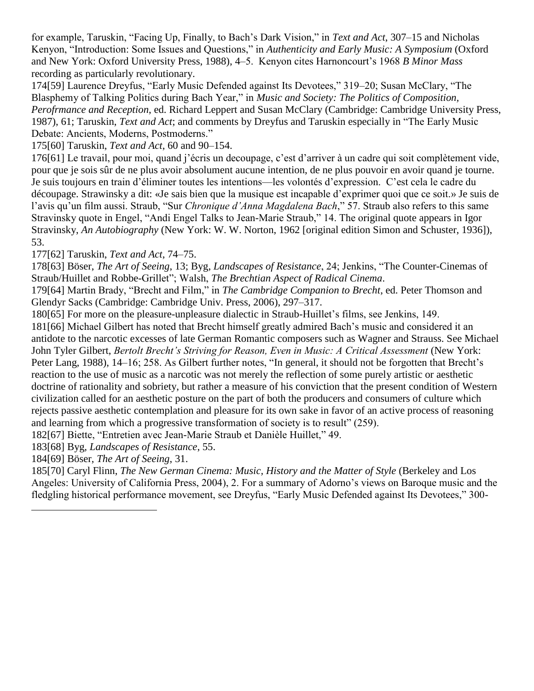for example, Taruskin, "Facing Up, Finally, to Bach's Dark Vision," in *Text and Act*, 307–15 and Nicholas Kenyon, "Introduction: Some Issues and Questions," in *Authenticity and Early Music: A Symposium* (Oxford and New York: Oxford University Press, 1988), 4–5. Kenyon cites Harnoncourt's 1968 *B Minor Mass* recording as particularly revolutionary.

174[59] Laurence Dreyfus, "Early Music Defended against Its Devotees," 319–20; Susan McClary, "The Blasphemy of Talking Politics during Bach Year," in *Music and Society: The Politics of Composition, Perofrmance and Reception*, ed. Richard Leppert and Susan McClary (Cambridge: Cambridge University Press, 1987), 61; Taruskin, *Text and Act*; and comments by Dreyfus and Taruskin especially in "The Early Music Debate: Ancients, Moderns, Postmoderns."

175[60] Taruskin, *Text and Act*, 60 and 90–154.

176[61] Le travail, pour moi, quand j'écris un decoupage, c'est d'arriver à un cadre qui soit complètement vide, pour que je sois sûr de ne plus avoir absolument aucune intention, de ne plus pouvoir en avoir quand je tourne. Je suis toujours en train d'éliminer toutes les intentions—les volontés d'expression. C'est cela le cadre du découpage. Strawinsky a dit: «Je sais bien que la musique est incapable d'exprimer quoi que ce soit.» Je suis de l'avis qu'un film aussi. Straub, "Sur *Chronique d'Anna Magdalena Bach*," 57. Straub also refers to this same Stravinsky quote in Engel, "Andi Engel Talks to Jean-Marie Straub," 14. The original quote appears in Igor Stravinsky, *An Autobiography* (New York: W. W. Norton, 1962 [original edition Simon and Schuster, 1936]), 53.

177[62] Taruskin, *Text and Act*, 74–75.

178[63] Böser, *The Art of Seeing*, 13; Byg, *Landscapes of Resistance*, 24; Jenkins, "The Counter-Cinemas of Straub/Huillet and Robbe-Grillet"; Walsh, *The Brechtian Aspect of Radical Cinema*.

179[64] Martin Brady, "Brecht and Film," in *The Cambridge Companion to Brecht*, ed. Peter Thomson and Glendyr Sacks (Cambridge: Cambridge Univ. Press, 2006), 297–317.

180[65] For more on the pleasure-unpleasure dialectic in Straub-Huillet's films, see Jenkins, 149.

181[66] Michael Gilbert has noted that Brecht himself greatly admired Bach's music and considered it an antidote to the narcotic excesses of late German Romantic composers such as Wagner and Strauss. See Michael John Tyler Gilbert, *Bertolt Brecht's Striving for Reason, Even in Music: A Critical Assessment* (New York: Peter Lang, 1988), 14–16; 258. As Gilbert further notes, "In general, it should not be forgotten that Brecht's reaction to the use of music as a narcotic was not merely the reflection of some purely artistic or aesthetic doctrine of rationality and sobriety, but rather a measure of his conviction that the present condition of Western civilization called for an aesthetic posture on the part of both the producers and consumers of culture which rejects passive aesthetic contemplation and pleasure for its own sake in favor of an active process of reasoning and learning from which a progressive transformation of society is to result" (259).

182[67] Biette, "Entretien avec Jean-Marie Straub et Danièle Huillet," 49.

183[68] Byg, *Landscapes of Resistance*, 55.

184[69] Böser, *The Art of Seeing*, 31.

 $\overline{a}$ 

185[70] Caryl Flinn, *The New German Cinema: Music, History and the Matter of Style* (Berkeley and Los Angeles: University of California Press, 2004), 2. For a summary of Adorno's views on Baroque music and the fledgling historical performance movement, see Dreyfus, "Early Music Defended against Its Devotees," 300-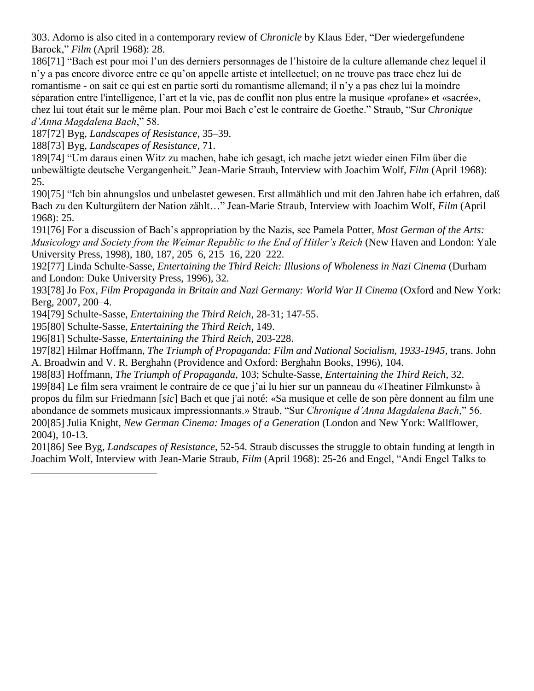303. Adorno is also cited in a contemporary review of *Chronicle* by Klaus Eder, "Der wiedergefundene Barock,‖ *Film* (April 1968): 28.

186[71] ―Bach est pour moi l'un des derniers personnages de l'histoire de la culture allemande chez lequel il n'y a pas encore divorce entre ce qu'on appelle artiste et intellectuel; on ne trouve pas trace chez lui de romantisme - on sait ce qui est en partie sorti du romantisme allemand; il n'y a pas chez lui la moindre séparation entre l'intelligence, l'art et la vie, pas de conflit non plus entre la musique «profane» et «sacrée», chez lui tout était sur le même plan. Pour moi Bach c'est le contraire de Goethe." Straub, "Sur *Chronique d'Anna Magdalena Bach*," 58.

187[72] Byg, *Landscapes of Resistance*, 35–39.

188[73] Byg, *Landscapes of Resistance*, 71.

189[74] "Um daraus einen Witz zu machen, habe ich gesagt, ich mache jetzt wieder einen Film über die unbewältigte deutsche Vergangenheit." Jean-Marie Straub, Interview with Joachim Wolf, *Film* (April 1968): 25.

190[75] "Ich bin ahnungslos und unbelastet gewesen. Erst allmählich und mit den Jahren habe ich erfahren, daß Bach zu den Kulturgütern der Nation zählt..." Jean-Marie Straub, Interview with Joachim Wolf, *Film* (April 1968): 25.

191[76] For a discussion of Bach's appropriation by the Nazis, see Pamela Potter, *Most German of the Arts: Musicology and Society from the Weimar Republic to the End of Hitler's Reich* (New Haven and London: Yale University Press, 1998), 180, 187, 205–6, 215–16, 220–222.

192[77] Linda Schulte-Sasse, *Entertaining the Third Reich: Illusions of Wholeness in Nazi Cinema* (Durham and London: Duke University Press, 1996), 32.

193[78] Jo Fox, *Film Propaganda in Britain and Nazi Germany: World War II Cinema* (Oxford and New York: Berg, 2007, 200–4.

194[79] Schulte-Sasse, *Entertaining the Third Reich*, 28-31; 147-55.

195[80] Schulte-Sasse, *Entertaining the Third Reich*, 149.

 $\overline{a}$ 

196[81] Schulte-Sasse, *Entertaining the Third Reich*, 203-228.

197[82] Hilmar Hoffmann, *The Triumph of Propaganda: Film and National Socialism, 1933-1945*, trans. John A. Broadwin and V. R. Berghahn (Providence and Oxford: Berghahn Books, 1996), 104.

198[83] Hoffmann, *The Triumph of Propaganda*, 103; Schulte-Sasse, *Entertaining the Third Reich*, 32.

199[84] Le film sera vraiment le contraire de ce que j'ai lu hier sur un panneau du «Theatiner Filmkunst» à propos du film sur Friedmann [*sic*] Bach et que j'ai noté: «Sa musique et celle de son père donnent au film une abondance de sommets musicaux impressionnants.» Straub, "Sur *Chronique d'Anna Magdalena Bach*," 56. 200[85] Julia Knight, *New German Cinema: Images of a Generation* (London and New York: Wallflower, 2004), 10-13.

201[86] See Byg, *Landscapes of Resistance*, 52-54. Straub discusses the struggle to obtain funding at length in Joachim Wolf, Interview with Jean-Marie Straub, *Film* (April 1968): 25-26 and Engel, "Andi Engel Talks to